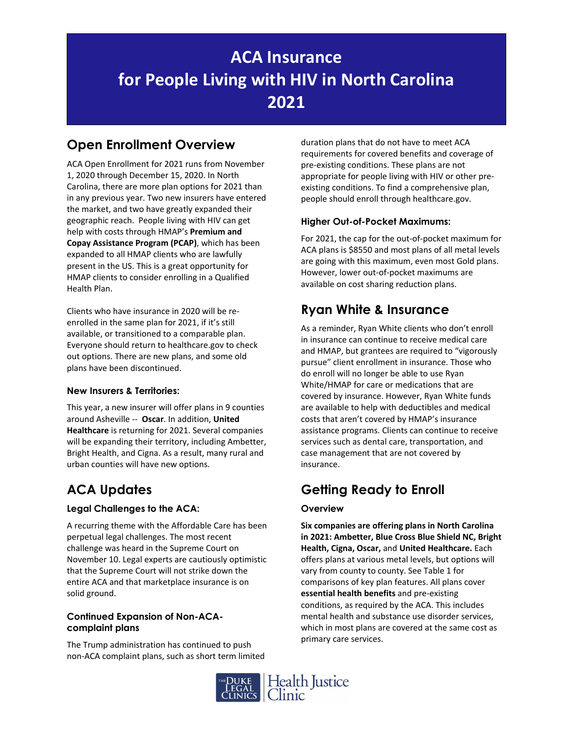# **ACA Insurance for People Living with HIV in North Carolina 2021**

## **Open Enrollment Overview**

ACA Open Enrollment for 2021 runs from November 1, 2020 through December 15, 2020. In North Carolina, there are more plan options for 2021 than in any previous year. Two new insurers have entered the market, and two have greatly expanded their geographic reach. People living with HIV can get help with costs through HMAP's **Premium and Copay Assistance Program (PCAP)**, which has been expanded to all HMAP clients who are lawfully present in the US. This is a great opportunity for HMAP clients to consider enrolling in a Qualified Health Plan.

Clients who have insurance in 2020 will be re‐ enrolled in the same plan for 2021, if it's still available, or transitioned to a comparable plan. Everyone should return to healthcare.gov to check out options. There are new plans, and some old plans have been discontinued.

### **New Insurers & Territories:**

This year, a new insurer will offer plans in 9 counties around Asheville ‐‐ **Oscar**. In addition, **United Healthcare** is returning for 2021. Several companies will be expanding their territory, including Ambetter, Bright Health, and Cigna. As a result, many rural and urban counties will have new options.

## **ACA Updates**

### **Legal Challenges to the ACA:**

A recurring theme with the Affordable Care has been perpetual legal challenges. The most recent challenge was heard in the Supreme Court on November 10. Legal experts are cautiously optimistic that the Supreme Court will not strike down the entire ACA and that marketplace insurance is on solid ground.

#### **Continued Expansion of Non-ACAcomplaint plans**

The Trump administration has continued to push non‐ACA complaint plans, such as short term limited duration plans that do not have to meet ACA requirements for covered benefits and coverage of pre‐existing conditions. These plans are not appropriate for people living with HIV or other pre‐ existing conditions. To find a comprehensive plan, people should enroll through healthcare.gov.

### **Higher Out-of-Pocket Maximums:**

For 2021, the cap for the out‐of‐pocket maximum for ACA plans is \$8550 and most plans of all metal levels are going with this maximum, even most Gold plans. However, lower out‐of‐pocket maximums are available on cost sharing reduction plans.

## **Ryan White & Insurance**

As a reminder, Ryan White clients who don't enroll in insurance can continue to receive medical care and HMAP, but grantees are required to "vigorously pursue" client enrollment in insurance. Those who do enroll will no longer be able to use Ryan White/HMAP for care or medications that are covered by insurance. However, Ryan White funds are available to help with deductibles and medical costs that aren't covered by HMAP's insurance assistance programs. Clients can continue to receive services such as dental care, transportation, and case management that are not covered by insurance.

## **Getting Ready to Enroll**

### **Overview**

**Six companies are offering plans in North Carolina in 2021: Ambetter, Blue Cross Blue Shield NC, Bright Health, Cigna, Oscar,** and **United Healthcare.** Each offers plans at various metal levels, but options will vary from county to county. See Table 1 for comparisons of key plan features. All plans cover **essential health benefits** and pre‐existing conditions, as required by the ACA. This includes mental health and substance use disorder services, which in most plans are covered at the same cost as primary care services.

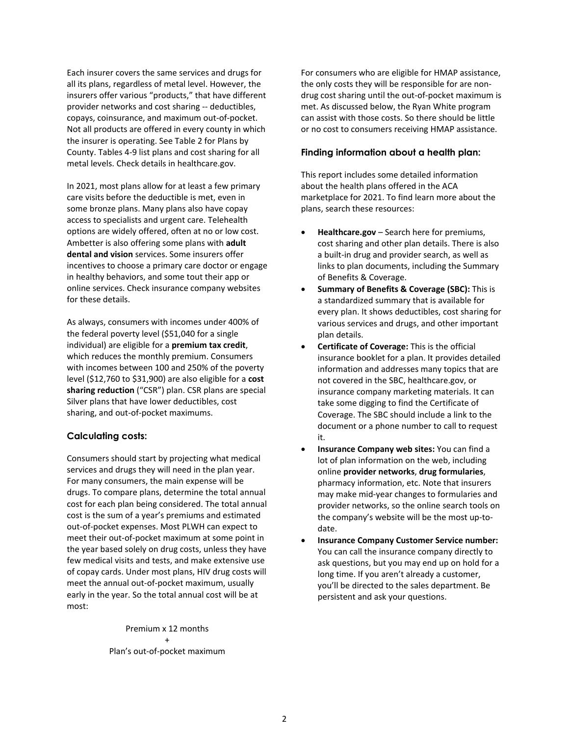Each insurer covers the same services and drugs for all its plans, regardless of metal level. However, the insurers offer various "products," that have different provider networks and cost sharing ‐‐ deductibles, copays, coinsurance, and maximum out‐of‐pocket. Not all products are offered in every county in which the insurer is operating. See Table 2 for Plans by County. Tables 4‐9 list plans and cost sharing for all metal levels. Check details in healthcare.gov.

In 2021, most plans allow for at least a few primary care visits before the deductible is met, even in some bronze plans. Many plans also have copay access to specialists and urgent care. Telehealth options are widely offered, often at no or low cost. Ambetter is also offering some plans with **adult dental and vision** services. Some insurers offer incentives to choose a primary care doctor or engage in healthy behaviors, and some tout their app or online services. Check insurance company websites for these details.

As always, consumers with incomes under 400% of the federal poverty level (\$51,040 for a single individual) are eligible for a **premium tax credit**, which reduces the monthly premium. Consumers with incomes between 100 and 250% of the poverty level (\$12,760 to \$31,900) are also eligible for a **cost sharing reduction** ("CSR") plan. CSR plans are special Silver plans that have lower deductibles, cost sharing, and out‐of‐pocket maximums.

#### **Calculating costs:**

Consumers should start by projecting what medical services and drugs they will need in the plan year. For many consumers, the main expense will be drugs. To compare plans, determine the total annual cost for each plan being considered. The total annual cost is the sum of a year's premiums and estimated out‐of‐pocket expenses. Most PLWH can expect to meet their out‐of‐pocket maximum at some point in the year based solely on drug costs, unless they have few medical visits and tests, and make extensive use of copay cards. Under most plans, HIV drug costs will meet the annual out‐of‐pocket maximum, usually early in the year. So the total annual cost will be at most:

> Premium x 12 months + Plan's out‐of‐pocket maximum

For consumers who are eligible for HMAP assistance, the only costs they will be responsible for are non‐ drug cost sharing until the out‐of‐pocket maximum is met. As discussed below, the Ryan White program can assist with those costs. So there should be little or no cost to consumers receiving HMAP assistance.

#### **Finding information about a health plan:**

This report includes some detailed information about the health plans offered in the ACA marketplace for 2021. To find learn more about the plans, search these resources:

- **Healthcare.gov** Search here for premiums, cost sharing and other plan details. There is also a built‐in drug and provider search, as well as links to plan documents, including the Summary of Benefits & Coverage.
- **Summary of Benefits & Coverage (SBC):** This is a standardized summary that is available for every plan. It shows deductibles, cost sharing for various services and drugs, and other important plan details.
- **Certificate of Coverage:** This is the official insurance booklet for a plan. It provides detailed information and addresses many topics that are not covered in the SBC, healthcare.gov, or insurance company marketing materials. It can take some digging to find the Certificate of Coverage. The SBC should include a link to the document or a phone number to call to request it.
- **Insurance Company web sites:** You can find a lot of plan information on the web, including online **provider networks**, **drug formularies**, pharmacy information, etc. Note that insurers may make mid‐year changes to formularies and provider networks, so the online search tools on the company's website will be the most up‐to‐ date.
- **Insurance Company Customer Service number:** You can call the insurance company directly to ask questions, but you may end up on hold for a long time. If you aren't already a customer, you'll be directed to the sales department. Be persistent and ask your questions.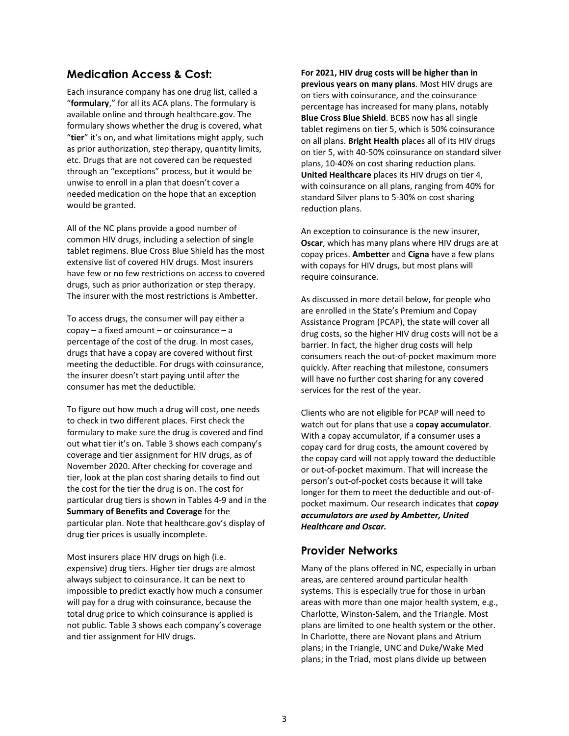### **Medication Access & Cost:**

Each insurance company has one drug list, called a "**formulary**," for all its ACA plans. The formulary is available online and through healthcare.gov. The formulary shows whether the drug is covered, what "**tier**" it's on, and what limitations might apply, such as prior authorization, step therapy, quantity limits, etc. Drugs that are not covered can be requested through an "exceptions" process, but it would be unwise to enroll in a plan that doesn't cover a needed medication on the hope that an exception would be granted.

All of the NC plans provide a good number of common HIV drugs, including a selection of single tablet regimens. Blue Cross Blue Shield has the most extensive list of covered HIV drugs. Most insurers have few or no few restrictions on access to covered drugs, such as prior authorization or step therapy. The insurer with the most restrictions is Ambetter.

To access drugs, the consumer will pay either a  $\text{copy} - \text{a fixed amount} - \text{or coinsurance} - \text{a}$ percentage of the cost of the drug. In most cases, drugs that have a copay are covered without first meeting the deductible. For drugs with coinsurance, the insurer doesn't start paying until after the consumer has met the deductible.

To figure out how much a drug will cost, one needs to check in two different places. First check the formulary to make sure the drug is covered and find out what tier it's on. Table 3 shows each company's coverage and tier assignment for HIV drugs, as of November 2020. After checking for coverage and tier, look at the plan cost sharing details to find out the cost for the tier the drug is on. The cost for particular drug tiers is shown in Tables 4‐9 and in the **Summary of Benefits and Coverage** for the particular plan. Note that healthcare.gov's display of drug tier prices is usually incomplete.

Most insurers place HIV drugs on high (i.e. expensive) drug tiers. Higher tier drugs are almost always subject to coinsurance. It can be next to impossible to predict exactly how much a consumer will pay for a drug with coinsurance, because the total drug price to which coinsurance is applied is not public. Table 3 shows each company's coverage and tier assignment for HIV drugs.

**For 2021, HIV drug costs will be higher than in previous years on many plans**. Most HIV drugs are on tiers with coinsurance, and the coinsurance percentage has increased for many plans, notably **Blue Cross Blue Shield**. BCBS now has all single tablet regimens on tier 5, which is 50% coinsurance on all plans. **Bright Health** places all of its HIV drugs on tier 5, with 40‐50% coinsurance on standard silver plans, 10‐40% on cost sharing reduction plans. **United Healthcare** places its HIV drugs on tier 4, with coinsurance on all plans, ranging from 40% for standard Silver plans to 5‐30% on cost sharing reduction plans.

An exception to coinsurance is the new insurer, **Oscar**, which has many plans where HIV drugs are at copay prices. **Ambetter** and **Cigna** have a few plans with copays for HIV drugs, but most plans will require coinsurance.

As discussed in more detail below, for people who are enrolled in the State's Premium and Copay Assistance Program (PCAP), the state will cover all drug costs, so the higher HIV drug costs will not be a barrier. In fact, the higher drug costs will help consumers reach the out‐of‐pocket maximum more quickly. After reaching that milestone, consumers will have no further cost sharing for any covered services for the rest of the year.

Clients who are not eligible for PCAP will need to watch out for plans that use a **copay accumulator**. With a copay accumulator, if a consumer uses a copay card for drug costs, the amount covered by the copay card will not apply toward the deductible or out‐of‐pocket maximum. That will increase the person's out‐of‐pocket costs because it will take longer for them to meet the deductible and out‐of‐ pocket maximum. Our research indicates that *copay accumulators are used by Ambetter, United Healthcare and Oscar.*

### **Provider Networks**

Many of the plans offered in NC, especially in urban areas, are centered around particular health systems. This is especially true for those in urban areas with more than one major health system, e.g., Charlotte, Winston‐Salem, and the Triangle. Most plans are limited to one health system or the other. In Charlotte, there are Novant plans and Atrium plans; in the Triangle, UNC and Duke/Wake Med plans; in the Triad, most plans divide up between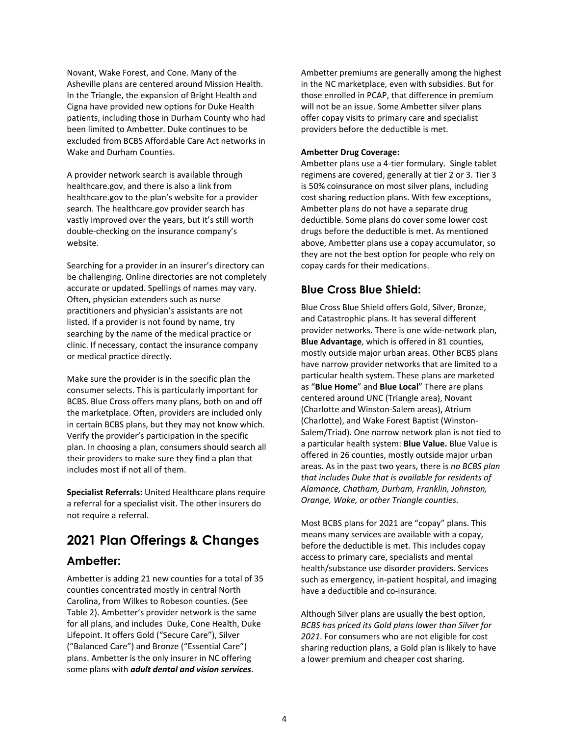Novant, Wake Forest, and Cone. Many of the Asheville plans are centered around Mission Health. In the Triangle, the expansion of Bright Health and Cigna have provided new options for Duke Health patients, including those in Durham County who had been limited to Ambetter. Duke continues to be excluded from BCBS Affordable Care Act networks in Wake and Durham Counties.

A provider network search is available through healthcare.gov, and there is also a link from healthcare.gov to the plan's website for a provider search. The healthcare.gov provider search has vastly improved over the years, but it's still worth double‐checking on the insurance company's website.

Searching for a provider in an insurer's directory can be challenging. Online directories are not completely accurate or updated. Spellings of names may vary. Often, physician extenders such as nurse practitioners and physician's assistants are not listed. If a provider is not found by name, try searching by the name of the medical practice or clinic. If necessary, contact the insurance company or medical practice directly.

Make sure the provider is in the specific plan the consumer selects. This is particularly important for BCBS. Blue Cross offers many plans, both on and off the marketplace. Often, providers are included only in certain BCBS plans, but they may not know which. Verify the provider's participation in the specific plan. In choosing a plan, consumers should search all their providers to make sure they find a plan that includes most if not all of them.

**Specialist Referrals:** United Healthcare plans require a referral for a specialist visit. The other insurers do not require a referral.

# **2021 Plan Offerings & Changes**

### **Ambetter:**

Ambetter is adding 21 new counties for a total of 35 counties concentrated mostly in central North Carolina, from Wilkes to Robeson counties. (See Table 2). Ambetter's provider network is the same for all plans, and includes Duke, Cone Health, Duke Lifepoint. It offers Gold ("Secure Care"), Silver ("Balanced Care") and Bronze ("Essential Care") plans. Ambetter is the only insurer in NC offering some plans with *adult dental and vision services*.

Ambetter premiums are generally among the highest in the NC marketplace, even with subsidies. But for those enrolled in PCAP, that difference in premium will not be an issue. Some Ambetter silver plans offer copay visits to primary care and specialist providers before the deductible is met.

#### **Ambetter Drug Coverage:**

Ambetter plans use a 4‐tier formulary. Single tablet regimens are covered, generally at tier 2 or 3. Tier 3 is 50% coinsurance on most silver plans, including cost sharing reduction plans. With few exceptions, Ambetter plans do not have a separate drug deductible. Some plans do cover some lower cost drugs before the deductible is met. As mentioned above, Ambetter plans use a copay accumulator, so they are not the best option for people who rely on copay cards for their medications.

### **Blue Cross Blue Shield:**

Blue Cross Blue Shield offers Gold, Silver, Bronze, and Catastrophic plans. It has several different provider networks. There is one wide‐network plan, **Blue Advantage**, which is offered in 81 counties, mostly outside major urban areas. Other BCBS plans have narrow provider networks that are limited to a particular health system. These plans are marketed as "**Blue Home**" and **Blue Local**" There are plans centered around UNC (Triangle area), Novant (Charlotte and Winston‐Salem areas), Atrium (Charlotte), and Wake Forest Baptist (Winston‐ Salem/Triad). One narrow network plan is not tied to a particular health system: **Blue Value.** Blue Value is offered in 26 counties, mostly outside major urban areas. As in the past two years, there is *no BCBS plan that includes Duke that is available for residents of Alamance, Chatham, Durham, Franklin, Johnston, Orange, Wake, or other Triangle counties.* 

Most BCBS plans for 2021 are "copay" plans. This means many services are available with a copay, before the deductible is met. This includes copay access to primary care, specialists and mental health/substance use disorder providers. Services such as emergency, in‐patient hospital, and imaging have a deductible and co-insurance.

Although Silver plans are usually the best option, *BCBS has priced its Gold plans lower than Silver for 2021*. For consumers who are not eligible for cost sharing reduction plans, a Gold plan is likely to have a lower premium and cheaper cost sharing.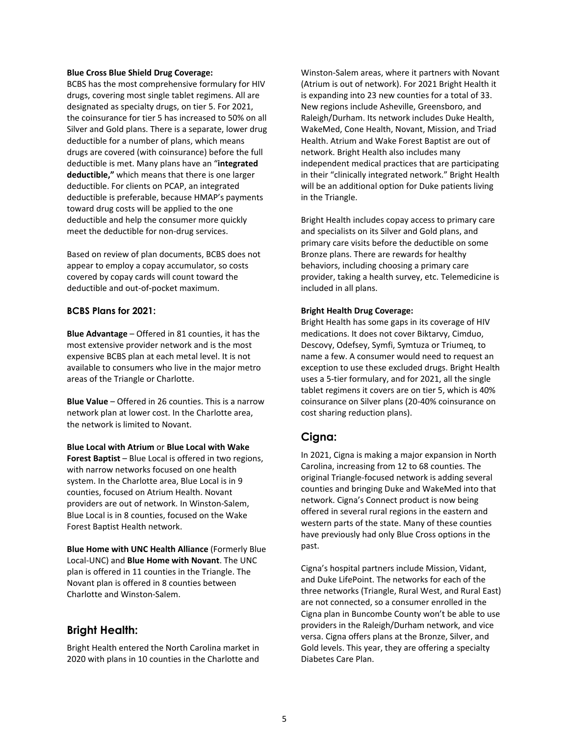#### **Blue Cross Blue Shield Drug Coverage:**

BCBS has the most comprehensive formulary for HIV drugs, covering most single tablet regimens. All are designated as specialty drugs, on tier 5. For 2021, the coinsurance for tier 5 has increased to 50% on all Silver and Gold plans. There is a separate, lower drug deductible for a number of plans, which means drugs are covered (with coinsurance) before the full deductible is met. Many plans have an "**integrated deductible,"** which means that there is one larger deductible. For clients on PCAP, an integrated deductible is preferable, because HMAP's payments toward drug costs will be applied to the one deductible and help the consumer more quickly meet the deductible for non-drug services.

Based on review of plan documents, BCBS does not appear to employ a copay accumulator, so costs covered by copay cards will count toward the deductible and out‐of‐pocket maximum.

#### **BCBS Plans for 2021:**

**Blue Advantage** – Offered in 81 counties, it has the most extensive provider network and is the most expensive BCBS plan at each metal level. It is not available to consumers who live in the major metro areas of the Triangle or Charlotte.

**Blue Value** – Offered in 26 counties. This is a narrow network plan at lower cost. In the Charlotte area, the network is limited to Novant.

**Blue Local with Atrium** or **Blue Local with Wake**

**Forest Baptist** – Blue Local is offered in two regions, with narrow networks focused on one health system. In the Charlotte area, Blue Local is in 9 counties, focused on Atrium Health. Novant providers are out of network. In Winston‐Salem, Blue Local is in 8 counties, focused on the Wake Forest Baptist Health network.

**Blue Home with UNC Health Alliance** (Formerly Blue Local‐UNC) and **Blue Home with Novant**. The UNC plan is offered in 11 counties in the Triangle. The Novant plan is offered in 8 counties between Charlotte and Winston‐Salem.

#### **Bright Health:**

Bright Health entered the North Carolina market in 2020 with plans in 10 counties in the Charlotte and

Winston‐Salem areas, where it partners with Novant (Atrium is out of network). For 2021 Bright Health it is expanding into 23 new counties for a total of 33. New regions include Asheville, Greensboro, and Raleigh/Durham. Its network includes Duke Health, WakeMed, Cone Health, Novant, Mission, and Triad Health. Atrium and Wake Forest Baptist are out of network. Bright Health also includes many independent medical practices that are participating in their "clinically integrated network." Bright Health will be an additional option for Duke patients living in the Triangle.

Bright Health includes copay access to primary care and specialists on its Silver and Gold plans, and primary care visits before the deductible on some Bronze plans. There are rewards for healthy behaviors, including choosing a primary care provider, taking a health survey, etc. Telemedicine is included in all plans.

#### **Bright Health Drug Coverage:**

Bright Health has some gaps in its coverage of HIV medications. It does not cover Biktarvy, Cimduo, Descovy, Odefsey, Symfi, Symtuza or Triumeq, to name a few. A consumer would need to request an exception to use these excluded drugs. Bright Health uses a 5‐tier formulary, and for 2021, all the single tablet regimens it covers are on tier 5, which is 40% coinsurance on Silver plans (20‐40% coinsurance on cost sharing reduction plans).

#### **Cigna:**

In 2021, Cigna is making a major expansion in North Carolina, increasing from 12 to 68 counties. The original Triangle‐focused network is adding several counties and bringing Duke and WakeMed into that network. Cigna's Connect product is now being offered in several rural regions in the eastern and western parts of the state. Many of these counties have previously had only Blue Cross options in the past.

Cigna's hospital partners include Mission, Vidant, and Duke LifePoint. The networks for each of the three networks (Triangle, Rural West, and Rural East) are not connected, so a consumer enrolled in the Cigna plan in Buncombe County won't be able to use providers in the Raleigh/Durham network, and vice versa. Cigna offers plans at the Bronze, Silver, and Gold levels. This year, they are offering a specialty Diabetes Care Plan.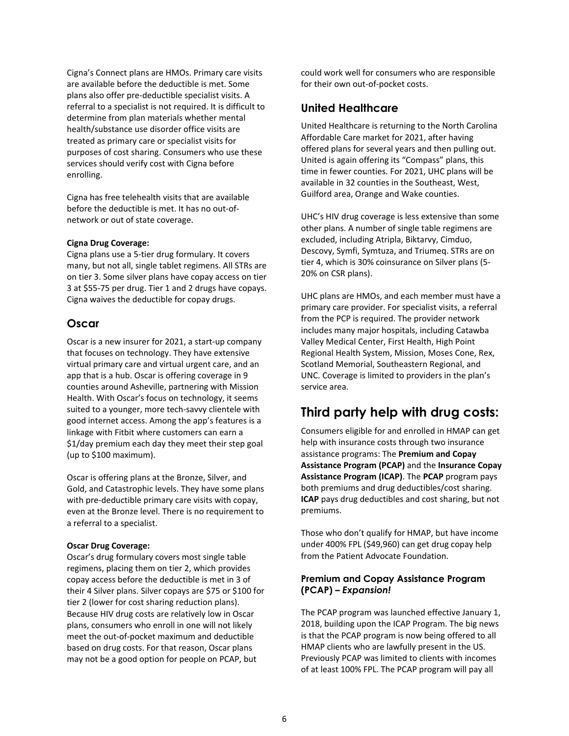Cigna's Connect plans are HMOs. Primary care visits are available before the deductible is met. Some plans also offer pre‐deductible specialist visits. A referral to a specialist is not required. It is difficult to determine from plan materials whether mental health/substance use disorder office visits are treated as primary care or specialist visits for purposes of cost sharing. Consumers who use these services should verify cost with Cigna before enrolling.

Cigna has free telehealth visits that are available before the deductible is met. It has no out‐of‐ network or out of state coverage.

#### **Cigna Drug Coverage:**

Cigna plans use a 5‐tier drug formulary. It covers many, but not all, single tablet regimens. All STRs are on tier 3. Some silver plans have copay access on tier 3 at \$55‐75 per drug. Tier 1 and 2 drugs have copays. Cigna waives the deductible for copay drugs.

#### **Oscar**

Oscar is a new insurer for 2021, a start‐up company that focuses on technology. They have extensive virtual primary care and virtual urgent care, and an app that is a hub. Oscar is offering coverage in 9 counties around Asheville, partnering with Mission Health. With Oscar's focus on technology, it seems suited to a younger, more tech‐savvy clientele with good internet access. Among the app's features is a linkage with Fitbit where customers can earn a \$1/day premium each day they meet their step goal (up to \$100 maximum).

Oscar is offering plans at the Bronze, Silver, and Gold, and Catastrophic levels. They have some plans with pre-deductible primary care visits with copay, even at the Bronze level. There is no requirement to a referral to a specialist.

#### **Oscar Drug Coverage:**

Oscar's drug formulary covers most single table regimens, placing them on tier 2, which provides copay access before the deductible is met in 3 of their 4 Silver plans. Silver copays are \$75 or \$100 for tier 2 (lower for cost sharing reduction plans). Because HIV drug costs are relatively low in Oscar plans, consumers who enroll in one will not likely meet the out‐of‐pocket maximum and deductible based on drug costs. For that reason, Oscar plans may not be a good option for people on PCAP, but

could work well for consumers who are responsible for their own out‐of‐pocket costs.

#### **United Healthcare**

United Healthcare is returning to the North Carolina Affordable Care market for 2021, after having offered plans for several years and then pulling out. United is again offering its "Compass" plans, this time in fewer counties. For 2021, UHC plans will be available in 32 counties in the Southeast, West, Guilford area, Orange and Wake counties.

UHC's HIV drug coverage is less extensive than some other plans. A number of single table regimens are excluded, including Atripla, Biktarvy, Cimduo, Descovy, Symfi, Symtuza, and Triumeq. STRs are on tier 4, which is 30% coinsurance on Silver plans (5‐ 20% on CSR plans).

UHC plans are HMOs, and each member must have a primary care provider. For specialist visits, a referral from the PCP is required. The provider network includes many major hospitals, including Catawba Valley Medical Center, First Health, High Point Regional Health System, Mission, Moses Cone, Rex, Scotland Memorial, Southeastern Regional, and UNC. Coverage is limited to providers in the plan's service area.

### **Third party help with drug costs:**

Consumers eligible for and enrolled in HMAP can get help with insurance costs through two insurance assistance programs: The **Premium and Copay Assistance Program (PCAP)** and the **Insurance Copay Assistance Program (ICAP)**. The **PCAP** program pays both premiums and drug deductibles/cost sharing. **ICAP** pays drug deductibles and cost sharing, but not premiums.

Those who don't qualify for HMAP, but have income under 400% FPL (\$49,960) can get drug copay help from the Patient Advocate Foundation.

#### **Premium and Copay Assistance Program (PCAP) –** *Expansion!*

The PCAP program was launched effective January 1, 2018, building upon the ICAP Program. The big news is that the PCAP program is now being offered to all HMAP clients who are lawfully present in the US. Previously PCAP was limited to clients with incomes of at least 100% FPL. The PCAP program will pay all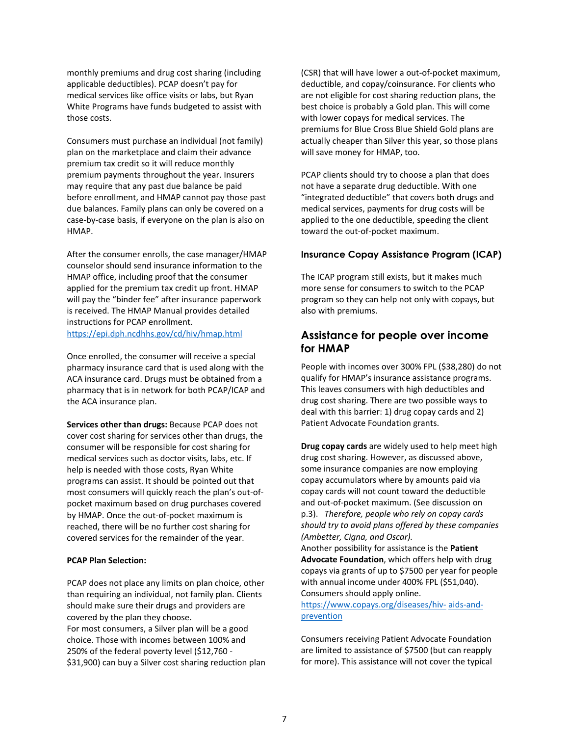monthly premiums and drug cost sharing (including applicable deductibles). PCAP doesn't pay for medical services like office visits or labs, but Ryan White Programs have funds budgeted to assist with those costs.

Consumers must purchase an individual (not family) plan on the marketplace and claim their advance premium tax credit so it will reduce monthly premium payments throughout the year. Insurers may require that any past due balance be paid before enrollment, and HMAP cannot pay those past due balances. Family plans can only be covered on a case‐by‐case basis, if everyone on the plan is also on HMAP.

After the consumer enrolls, the case manager/HMAP counselor should send insurance information to the HMAP office, including proof that the consumer applied for the premium tax credit up front. HMAP will pay the "binder fee" after insurance paperwork is received. The HMAP Manual provides detailed instructions for PCAP enrollment. https://epi.dph.ncdhhs.gov/cd/hiv/hmap.html

Once enrolled, the consumer will receive a special pharmacy insurance card that is used along with the ACA insurance card. Drugs must be obtained from a pharmacy that is in network for both PCAP/ICAP and the ACA insurance plan.

**Services other than drugs:** Because PCAP does not cover cost sharing for services other than drugs, the consumer will be responsible for cost sharing for medical services such as doctor visits, labs, etc. If help is needed with those costs, Ryan White programs can assist. It should be pointed out that most consumers will quickly reach the plan's out‐of‐ pocket maximum based on drug purchases covered by HMAP. Once the out‐of‐pocket maximum is reached, there will be no further cost sharing for covered services for the remainder of the year.

#### **PCAP Plan Selection:**

PCAP does not place any limits on plan choice, other than requiring an individual, not family plan. Clients should make sure their drugs and providers are covered by the plan they choose. For most consumers, a Silver plan will be a good choice. Those with incomes between 100% and 250% of the federal poverty level (\$12,760 ‐ \$31,900) can buy a Silver cost sharing reduction plan (CSR) that will have lower a out‐of‐pocket maximum, deductible, and copay/coinsurance. For clients who are not eligible for cost sharing reduction plans, the best choice is probably a Gold plan. This will come with lower copays for medical services. The premiums for Blue Cross Blue Shield Gold plans are actually cheaper than Silver this year, so those plans will save money for HMAP, too.

PCAP clients should try to choose a plan that does not have a separate drug deductible. With one "integrated deductible" that covers both drugs and medical services, payments for drug costs will be applied to the one deductible, speeding the client toward the out‐of‐pocket maximum.

#### **Insurance Copay Assistance Program (ICAP)**

The ICAP program still exists, but it makes much more sense for consumers to switch to the PCAP program so they can help not only with copays, but also with premiums.

#### **Assistance for people over income for HMAP**

People with incomes over 300% FPL (\$38,280) do not qualify for HMAP's insurance assistance programs. This leaves consumers with high deductibles and drug cost sharing. There are two possible ways to deal with this barrier: 1) drug copay cards and 2) Patient Advocate Foundation grants.

**Drug copay cards** are widely used to help meet high drug cost sharing. However, as discussed above, some insurance companies are now employing copay accumulators where by amounts paid via copay cards will not count toward the deductible and out‐of‐pocket maximum. (See discussion on p.3). *Therefore, people who rely on copay cards should try to avoid plans offered by these companies (Ambetter, Cigna, and Oscar).*

Another possibility for assistance is the **Patient Advocate Foundation**, which offers help with drug copays via grants of up to \$7500 per year for people with annual income under 400% FPL (\$51,040). Consumers should apply online.

#### https://www.copays.org/diseases/hiv-aids-andprevention

Consumers receiving Patient Advocate Foundation are limited to assistance of \$7500 (but can reapply for more). This assistance will not cover the typical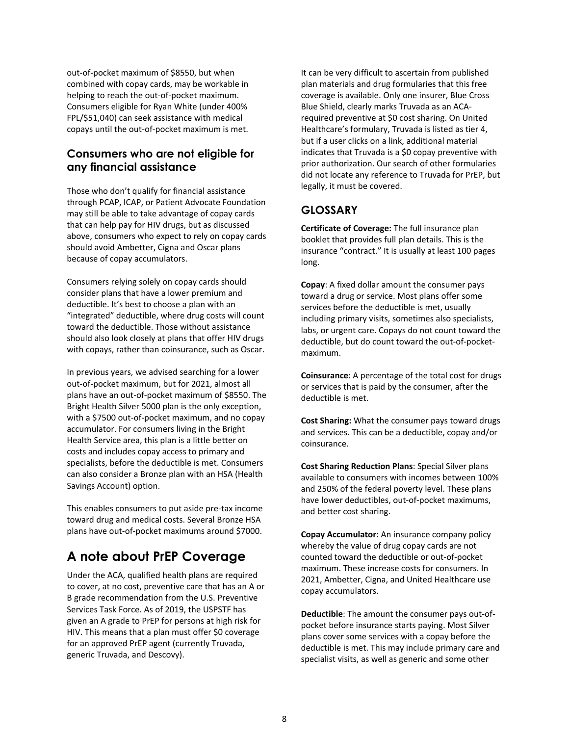out‐of‐pocket maximum of \$8550, but when combined with copay cards, may be workable in helping to reach the out‐of‐pocket maximum. Consumers eligible for Ryan White (under 400% FPL/\$51,040) can seek assistance with medical copays until the out‐of‐pocket maximum is met.

### **Consumers who are not eligible for any financial assistance**

Those who don't qualify for financial assistance through PCAP, ICAP, or Patient Advocate Foundation may still be able to take advantage of copay cards that can help pay for HIV drugs, but as discussed above, consumers who expect to rely on copay cards should avoid Ambetter, Cigna and Oscar plans because of copay accumulators.

Consumers relying solely on copay cards should consider plans that have a lower premium and deductible. It's best to choose a plan with an "integrated" deductible, where drug costs will count toward the deductible. Those without assistance should also look closely at plans that offer HIV drugs with copays, rather than coinsurance, such as Oscar.

In previous years, we advised searching for a lower out‐of‐pocket maximum, but for 2021, almost all plans have an out‐of‐pocket maximum of \$8550. The Bright Health Silver 5000 plan is the only exception, with a \$7500 out‐of‐pocket maximum, and no copay accumulator. For consumers living in the Bright Health Service area, this plan is a little better on costs and includes copay access to primary and specialists, before the deductible is met. Consumers can also consider a Bronze plan with an HSA (Health Savings Account) option.

This enables consumers to put aside pre‐tax income toward drug and medical costs. Several Bronze HSA plans have out‐of‐pocket maximums around \$7000.

## **A note about PrEP Coverage**

Under the ACA, qualified health plans are required to cover, at no cost, preventive care that has an A or B grade recommendation from the U.S. Preventive Services Task Force. As of 2019, the USPSTF has given an A grade to PrEP for persons at high risk for HIV. This means that a plan must offer \$0 coverage for an approved PrEP agent (currently Truvada, generic Truvada, and Descovy).

It can be very difficult to ascertain from published plan materials and drug formularies that this free coverage is available. Only one insurer, Blue Cross Blue Shield, clearly marks Truvada as an ACA‐ required preventive at \$0 cost sharing. On United Healthcare's formulary, Truvada is listed as tier 4, but if a user clicks on a link, additional material indicates that Truvada is a \$0 copay preventive with prior authorization. Our search of other formularies did not locate any reference to Truvada for PrEP, but legally, it must be covered.

### **GLOSSARY**

**Certificate of Coverage:** The full insurance plan booklet that provides full plan details. This is the insurance "contract." It is usually at least 100 pages long.

**Copay**: A fixed dollar amount the consumer pays toward a drug or service. Most plans offer some services before the deductible is met, usually including primary visits, sometimes also specialists, labs, or urgent care. Copays do not count toward the deductible, but do count toward the out‐of‐pocket‐ maximum.

**Coinsurance**: A percentage of the total cost for drugs or services that is paid by the consumer, after the deductible is met.

**Cost Sharing:** What the consumer pays toward drugs and services. This can be a deductible, copay and/or coinsurance.

**Cost Sharing Reduction Plans**: Special Silver plans available to consumers with incomes between 100% and 250% of the federal poverty level. These plans have lower deductibles, out‐of‐pocket maximums, and better cost sharing.

**Copay Accumulator:** An insurance company policy whereby the value of drug copay cards are not counted toward the deductible or out‐of‐pocket maximum. These increase costs for consumers. In 2021, Ambetter, Cigna, and United Healthcare use copay accumulators.

**Deductible**: The amount the consumer pays out‐of‐ pocket before insurance starts paying. Most Silver plans cover some services with a copay before the deductible is met. This may include primary care and specialist visits, as well as generic and some other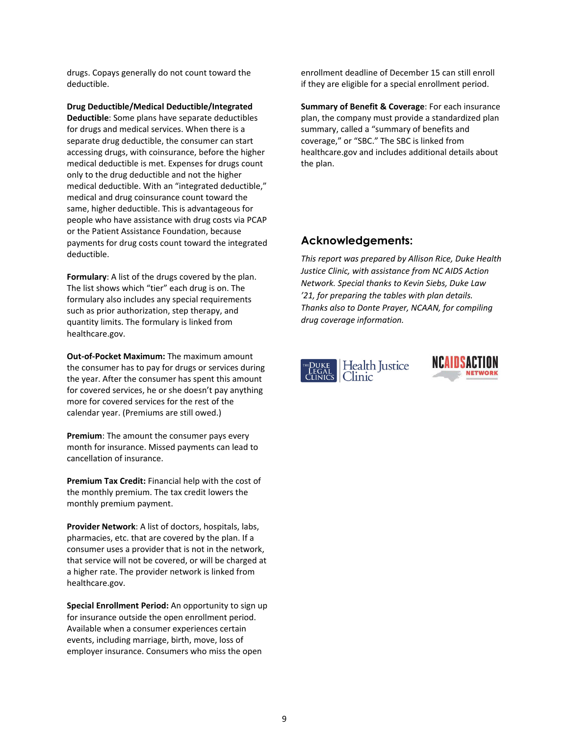drugs. Copays generally do not count toward the deductible.

**Drug Deductible/Medical Deductible/Integrated Deductible**: Some plans have separate deductibles for drugs and medical services. When there is a separate drug deductible, the consumer can start accessing drugs, with coinsurance, before the higher medical deductible is met. Expenses for drugs count only to the drug deductible and not the higher medical deductible. With an "integrated deductible," medical and drug coinsurance count toward the same, higher deductible. This is advantageous for people who have assistance with drug costs via PCAP or the Patient Assistance Foundation, because payments for drug costs count toward the integrated deductible.

**Formulary**: A list of the drugs covered by the plan. The list shows which "tier" each drug is on. The formulary also includes any special requirements such as prior authorization, step therapy, and quantity limits. The formulary is linked from healthcare.gov.

**Out‐of‐Pocket Maximum:** The maximum amount the consumer has to pay for drugs or services during the year. After the consumer has spent this amount for covered services, he or she doesn't pay anything more for covered services for the rest of the calendar year. (Premiums are still owed.)

**Premium**: The amount the consumer pays every month for insurance. Missed payments can lead to cancellation of insurance.

**Premium Tax Credit:** Financial help with the cost of the monthly premium. The tax credit lowers the monthly premium payment.

**Provider Network**: A list of doctors, hospitals, labs, pharmacies, etc. that are covered by the plan. If a consumer uses a provider that is not in the network, that service will not be covered, or will be charged at a higher rate. The provider network is linked from healthcare.gov.

**Special Enrollment Period:** An opportunity to sign up for insurance outside the open enrollment period. Available when a consumer experiences certain events, including marriage, birth, move, loss of employer insurance. Consumers who miss the open

enrollment deadline of December 15 can still enroll if they are eligible for a special enrollment period.

**Summary of Benefit & Coverage**: For each insurance plan, the company must provide a standardized plan summary, called a "summary of benefits and coverage," or "SBC." The SBC is linked from healthcare.gov and includes additional details about the plan.

### **Acknowledgements:**

*This report was prepared by Allison Rice, Duke Health Justice Clinic, with assistance from NC AIDS Action Network. Special thanks to Kevin Siebs, Duke Law '21, for preparing the tables with plan details. Thanks also to Donte Prayer, NCAAN, for compiling drug coverage information.*



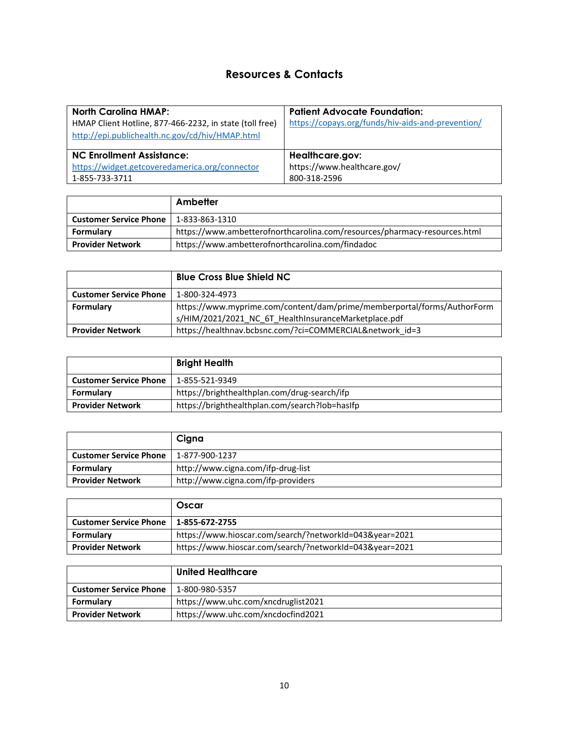### **Resources & Contacts**

| <b>North Carolina HMAP:</b><br>HMAP Client Hotline, 877-466-2232, in state (toll free)<br>http://epi.publichealth.nc.gov/cd/hiv/HMAP.html | <b>Patient Advocate Foundation:</b><br>https://copays.org/funds/hiv-aids-and-prevention/ |
|-------------------------------------------------------------------------------------------------------------------------------------------|------------------------------------------------------------------------------------------|
| <b>NC Enrollment Assistance:</b>                                                                                                          | Healthcare.gov:                                                                          |
| https://widget.getcoveredamerica.org/connector<br>1-855-733-3711                                                                          | https://www.healthcare.gov/<br>800-318-2596                                              |

|                               | Ambetter                                                                  |
|-------------------------------|---------------------------------------------------------------------------|
| <b>Customer Service Phone</b> | 1-833-863-1310                                                            |
| Formulary                     | https://www.ambetterofnorthcarolina.com/resources/pharmacy-resources.html |
| <b>Provider Network</b>       | https://www.ambetterofnorthcarolina.com/findadoc                          |

|                               | <b>Blue Cross Blue Shield NC</b>                                        |
|-------------------------------|-------------------------------------------------------------------------|
| <b>Customer Service Phone</b> | 1-800-324-4973                                                          |
| Formulary                     | https://www.myprime.com/content/dam/prime/memberportal/forms/AuthorForm |
|                               | s/HIM/2021/2021 NC 6T HealthInsuranceMarketplace.pdf                    |
| <b>Provider Network</b>       | https://healthnav.bcbsnc.com/?ci=COMMERCIAL&network id=3                |

|                               | <b>Bright Health</b>                           |
|-------------------------------|------------------------------------------------|
| <b>Customer Service Phone</b> | 1-855-521-9349                                 |
| Formulary                     | https://brighthealthplan.com/drug-search/ifp   |
| <b>Provider Network</b>       | https://brighthealthplan.com/search?lob=hasIfp |

|                               | Cigna                              |
|-------------------------------|------------------------------------|
| <b>Customer Service Phone</b> | 1-877-900-1237                     |
| Formulary                     | http://www.cigna.com/ifp-drug-list |
| <b>Provider Network</b>       | http://www.cigna.com/ifp-providers |

|                               | Oscar                                                   |
|-------------------------------|---------------------------------------------------------|
| <b>Customer Service Phone</b> | 1-855-672-2755                                          |
| Formulary                     | https://www.hioscar.com/search/?networkId=043&year=2021 |
| <b>Provider Network</b>       | https://www.hioscar.com/search/?networkId=043&year=2021 |

|                               | <b>United Healthcare</b>            |
|-------------------------------|-------------------------------------|
| <b>Customer Service Phone</b> | 1-800-980-5357                      |
| Formulary                     | https://www.uhc.com/xncdruglist2021 |
| <b>Provider Network</b>       | https://www.uhc.com/xncdocfind2021  |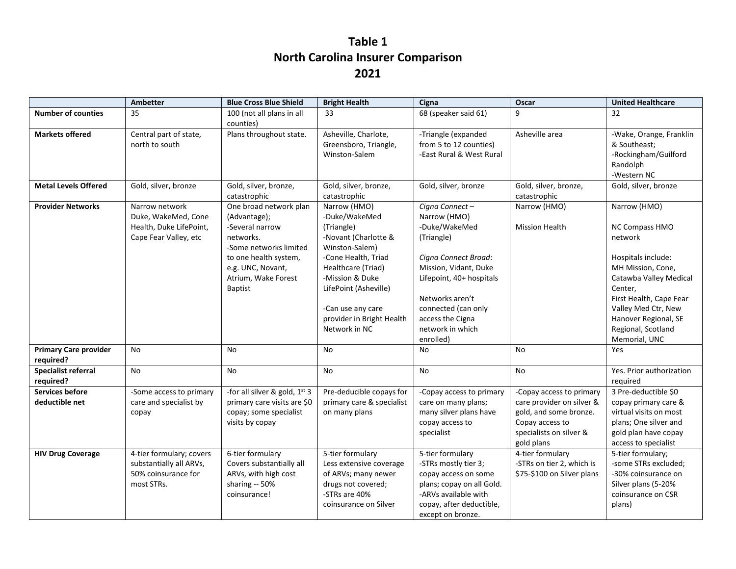## **Table 1 North Carolina Insurer Comparison 2021**

|                                           | Ambetter                                                                                  | <b>Blue Cross Blue Shield</b>                                                                                                                                                           | <b>Bright Health</b>                                                                                                                                                                                                                              | Cigna                                                                                                                                                                                                                                     | Oscar                                                                                                                                       | <b>United Healthcare</b>                                                                                                                                                                                                                   |  |
|-------------------------------------------|-------------------------------------------------------------------------------------------|-----------------------------------------------------------------------------------------------------------------------------------------------------------------------------------------|---------------------------------------------------------------------------------------------------------------------------------------------------------------------------------------------------------------------------------------------------|-------------------------------------------------------------------------------------------------------------------------------------------------------------------------------------------------------------------------------------------|---------------------------------------------------------------------------------------------------------------------------------------------|--------------------------------------------------------------------------------------------------------------------------------------------------------------------------------------------------------------------------------------------|--|
| <b>Number of counties</b>                 | 35                                                                                        | 100 (not all plans in all                                                                                                                                                               | 33                                                                                                                                                                                                                                                | 68 (speaker said 61)                                                                                                                                                                                                                      | 9                                                                                                                                           | 32                                                                                                                                                                                                                                         |  |
| <b>Markets offered</b>                    | Central part of state,<br>north to south                                                  | counties)<br>Plans throughout state.                                                                                                                                                    | Asheville, Charlote,<br>Greensboro, Triangle,<br>Winston-Salem                                                                                                                                                                                    | -Triangle (expanded<br>from 5 to 12 counties)<br>-East Rural & West Rural                                                                                                                                                                 | Asheville area                                                                                                                              | -Wake, Orange, Franklin<br>& Southeast;<br>-Rockingham/Guilford<br>Randolph<br>-Western NC                                                                                                                                                 |  |
| <b>Metal Levels Offered</b>               | Gold, silver, bronze                                                                      | Gold, silver, bronze,<br>catastrophic                                                                                                                                                   | Gold, silver, bronze,<br>catastrophic                                                                                                                                                                                                             | Gold, silver, bronze                                                                                                                                                                                                                      | Gold, silver, bronze,<br>catastrophic                                                                                                       | Gold, silver, bronze                                                                                                                                                                                                                       |  |
| <b>Provider Networks</b>                  | Narrow network<br>Duke, WakeMed, Cone<br>Health, Duke LifePoint,<br>Cape Fear Valley, etc | One broad network plan<br>(Advantage);<br>-Several narrow<br>networks.<br>-Some networks limited<br>to one health system,<br>e.g. UNC, Novant,<br>Atrium, Wake Forest<br><b>Baptist</b> | Narrow (HMO)<br>-Duke/WakeMed<br>(Triangle)<br>-Novant (Charlotte &<br>Winston-Salem)<br>-Cone Health, Triad<br>Healthcare (Triad)<br>-Mission & Duke<br>LifePoint (Asheville)<br>-Can use any care<br>provider in Bright Health<br>Network in NC | Cigna Connect-<br>Narrow (HMO)<br>-Duke/WakeMed<br>(Triangle)<br>Cigna Connect Broad:<br>Mission, Vidant, Duke<br>Lifepoint, 40+ hospitals<br>Networks aren't<br>connected (can only<br>access the Cigna<br>network in which<br>enrolled) | Narrow (HMO)<br><b>Mission Health</b>                                                                                                       | Narrow (HMO)<br>NC Compass HMO<br>network<br>Hospitals include:<br>MH Mission, Cone,<br>Catawba Valley Medical<br>Center,<br>First Health, Cape Fear<br>Valley Med Ctr, New<br>Hanover Regional, SE<br>Regional, Scotland<br>Memorial, UNC |  |
| <b>Primary Care provider</b><br>required? | <b>No</b>                                                                                 | <b>No</b>                                                                                                                                                                               | <b>No</b>                                                                                                                                                                                                                                         | <b>No</b>                                                                                                                                                                                                                                 | <b>No</b>                                                                                                                                   | Yes                                                                                                                                                                                                                                        |  |
| Specialist referral<br>required?          | No                                                                                        | No                                                                                                                                                                                      | No                                                                                                                                                                                                                                                | No                                                                                                                                                                                                                                        | No                                                                                                                                          | Yes. Prior authorization<br>required                                                                                                                                                                                                       |  |
| <b>Services before</b><br>deductible net  | -Some access to primary<br>care and specialist by<br>copay                                | -for all silver & gold, 1st 3<br>primary care visits are \$0<br>copay; some specialist<br>visits by copay                                                                               | Pre-deducible copays for<br>primary care & specialist<br>on many plans                                                                                                                                                                            | -Copay access to primary<br>care on many plans;<br>many silver plans have<br>copay access to<br>specialist                                                                                                                                | -Copay access to primary<br>care provider on silver &<br>gold, and some bronze.<br>Copay access to<br>specialists on silver &<br>gold plans | 3 Pre-deductible \$0<br>copay primary care &<br>virtual visits on most<br>plans; One silver and<br>gold plan have copay<br>access to specialist                                                                                            |  |
| <b>HIV Drug Coverage</b>                  | 4-tier formulary; covers<br>substantially all ARVs,<br>50% coinsurance for<br>most STRs.  | 6-tier formulary<br>Covers substantially all<br>ARVs, with high cost<br>sharing -- 50%<br>coinsurance!                                                                                  | 5-tier formulary<br>Less extensive coverage<br>of ARVs; many newer<br>drugs not covered;<br>-STRs are 40%<br>coinsurance on Silver                                                                                                                | 5-tier formulary<br>-STRs mostly tier 3;<br>copay access on some<br>plans; copay on all Gold.<br>-ARVs available with<br>copay, after deductible,<br>except on bronze.                                                                    | 4-tier formulary<br>-STRs on tier 2, which is<br>\$75-\$100 on Silver plans                                                                 | 5-tier formulary;<br>-some STRs excluded;<br>-30% coinsurance on<br>Silver plans (5-20%<br>coinsurance on CSR<br>plans)                                                                                                                    |  |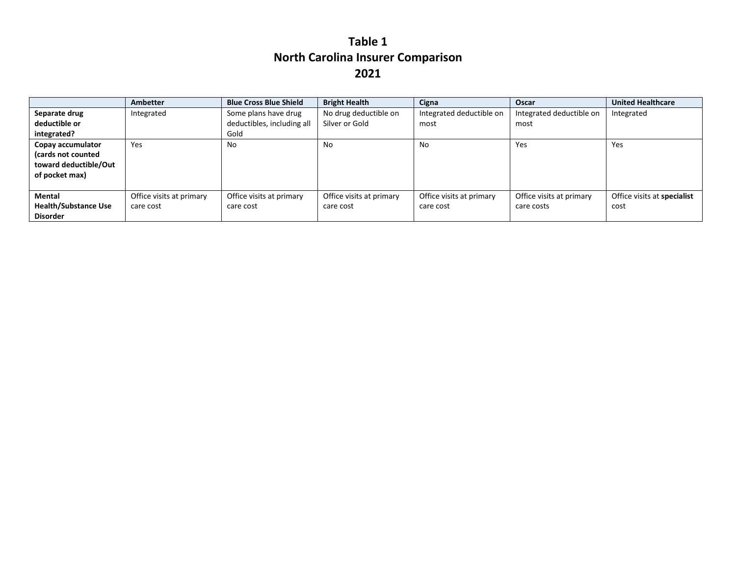## **Table 1 North Carolina Insurer Comparison 2021**

|                             | <b>Ambetter</b>          | <b>Blue Cross Blue Shield</b> | <b>Bright Health</b>     | Cigna                    | Oscar                    | <b>United Healthcare</b>    |
|-----------------------------|--------------------------|-------------------------------|--------------------------|--------------------------|--------------------------|-----------------------------|
| Separate drug               | Integrated               | Some plans have drug          | No drug deductible on    | Integrated deductible on | Integrated deductible on | Integrated                  |
| deductible or               |                          | deductibles, including all    | Silver or Gold           | most                     | most                     |                             |
| integrated?                 |                          | Gold                          |                          |                          |                          |                             |
| Copay accumulator           | <b>Yes</b>               | No                            | No                       | No                       | Yes                      | Yes                         |
| (cards not counted          |                          |                               |                          |                          |                          |                             |
| toward deductible/Out       |                          |                               |                          |                          |                          |                             |
| of pocket max)              |                          |                               |                          |                          |                          |                             |
|                             |                          |                               |                          |                          |                          |                             |
| <b>Mental</b>               | Office visits at primary | Office visits at primary      | Office visits at primary | Office visits at primary | Office visits at primary | Office visits at specialist |
| <b>Health/Substance Use</b> | care cost                | care cost                     | care cost                | care cost                | care costs               | cost                        |
| <b>Disorder</b>             |                          |                               |                          |                          |                          |                             |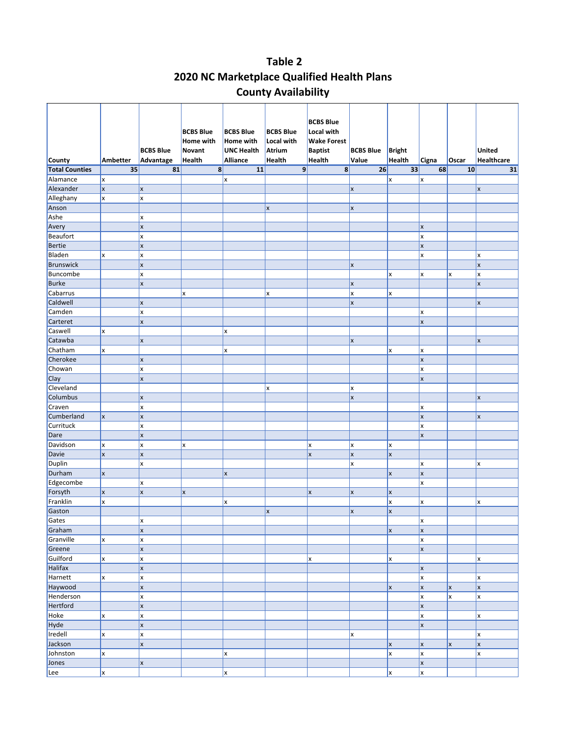### **Table 2 2020 NC Marketplace Qualified Health Plans County Availability**

|                       |              |                         | <b>BCBS Blue</b>    | <b>BCBS Blue</b>               | <b>BCBS Blue</b>     | <b>BCBS Blue</b><br>Local with       |                  |               |                           |          |                   |
|-----------------------|--------------|-------------------------|---------------------|--------------------------------|----------------------|--------------------------------------|------------------|---------------|---------------------------|----------|-------------------|
|                       |              | <b>BCBS Blue</b>        | Home with<br>Novant | Home with<br><b>UNC Health</b> | Local with<br>Atrium | <b>Wake Forest</b><br><b>Baptist</b> | <b>BCBS Blue</b> | <b>Bright</b> |                           |          | <b>United</b>     |
| <b>County</b>         | Ambetter     | Advantage               | Health              | Alliance                       | <b>Health</b>        | Health                               | Value            | <b>Health</b> | Cigna                     | Oscar    | <b>Healthcare</b> |
| <b>Total Counties</b> | 35           | 81                      | $\mathbf{8}$        | 11                             | 9                    | $\mathbf{8}$                         | 26               | 33            | 68                        | 10       | 31                |
| Alamance              | X            |                         |                     | X                              |                      |                                      |                  | X             | X                         |          |                   |
| Alexander             | <b>x</b>     | $\mathsf{x}$            |                     |                                |                      |                                      | lx.              |               |                           |          | x                 |
| Alleghany             | x            | X                       |                     |                                |                      |                                      |                  |               |                           |          |                   |
| Anson                 |              |                         |                     |                                | X                    |                                      | x                |               |                           |          |                   |
| Ashe                  |              | X                       |                     |                                |                      |                                      |                  |               |                           |          |                   |
| Avery                 |              | $\mathsf{x}$            |                     |                                |                      |                                      |                  |               | X                         |          |                   |
| Beaufort              |              | x                       |                     |                                |                      |                                      |                  |               | x                         |          |                   |
| Bertie                |              | X                       |                     |                                |                      |                                      |                  |               | $\boldsymbol{\mathsf{x}}$ |          |                   |
| Bladen                | X            | x                       |                     |                                |                      |                                      |                  |               | x                         |          | x                 |
| <b>Brunswick</b>      |              | $\overline{\mathsf{x}}$ |                     |                                |                      |                                      | x                |               |                           |          | $\mathsf{x}$      |
| Buncombe              |              | x                       |                     |                                |                      |                                      |                  | x             | x                         | X        | x                 |
| <b>Burke</b>          |              | X                       |                     |                                |                      |                                      | <b>x</b>         |               |                           |          | x                 |
| Cabarrus              |              |                         | x                   |                                | X                    |                                      | x                | x             |                           |          |                   |
| Caldwell              |              | X                       |                     |                                |                      |                                      | X                |               |                           |          | X                 |
| Camden                |              | x                       |                     |                                |                      |                                      |                  |               | x                         |          |                   |
| Carteret              |              | $\mathsf{x}$            |                     |                                |                      |                                      |                  |               | $\mathsf{x}$              |          |                   |
| Caswell               | x            |                         |                     | x                              |                      |                                      |                  |               |                           |          |                   |
| Catawba               |              | X                       |                     |                                |                      |                                      | x                |               |                           |          | $\mathsf{x}$      |
| Chatham               | x            |                         |                     | <b>x</b>                       |                      |                                      |                  | X             | X                         |          |                   |
| Cherokee              |              | X                       |                     |                                |                      |                                      |                  |               | $\mathsf{x}$              |          |                   |
| Chowan                |              | X                       |                     |                                |                      |                                      |                  |               | X                         |          |                   |
| Clay                  |              | $\mathsf{x}$            |                     |                                |                      |                                      |                  |               | X                         |          |                   |
| Cleveland             |              |                         |                     |                                | X                    |                                      | x                |               |                           |          |                   |
| Columbus              |              | X                       |                     |                                |                      |                                      | x                |               |                           |          | X                 |
| Craven                |              | x                       |                     |                                |                      |                                      |                  |               | x                         |          |                   |
| Cumberland            | $\mathsf{x}$ | $\vert x \vert$         |                     |                                |                      |                                      |                  |               | $\mathsf{x}$              |          | X                 |
| Currituck             |              | x                       |                     |                                |                      |                                      |                  |               | X                         |          |                   |
| Dare                  |              | X                       |                     |                                |                      |                                      |                  |               | $\boldsymbol{\mathsf{x}}$ |          |                   |
| Davidson              | x            | X                       | x                   |                                |                      | X                                    | <b>x</b>         | X             |                           |          |                   |
| Davie                 | X            | $\overline{\mathsf{x}}$ |                     |                                |                      | x                                    | <b>x</b>         | <b>x</b>      |                           |          |                   |
| Duplin                |              | x                       |                     |                                |                      |                                      | X                |               | X                         |          | x                 |
| Durham                | x            |                         |                     | x                              |                      |                                      |                  | <b>x</b>      | $\mathsf{x}$              |          |                   |
| Edgecombe             |              | X                       |                     |                                |                      |                                      |                  |               | X                         |          |                   |
| Forsyth               | X            | X                       | x                   |                                |                      | x                                    | x                | <b>x</b>      |                           |          |                   |
| Franklin              | x            |                         |                     | <b>x</b>                       |                      |                                      |                  | x             | lx                        |          | x                 |
| Gaston                |              |                         |                     |                                | X                    |                                      | X                | $\mathsf{x}$  |                           |          |                   |
| Gates                 |              | x                       |                     |                                |                      |                                      |                  |               | X                         |          |                   |
| Graham                |              | X                       |                     |                                |                      |                                      |                  | $\mathsf{x}$  | <b>x</b>                  |          |                   |
| Granville             | <b>x</b>     | X                       |                     |                                |                      |                                      |                  |               | x                         |          |                   |
| Greene                |              | $\mathsf{x}$            |                     |                                |                      |                                      |                  |               | <b>x</b>                  |          |                   |
| Guilford              | x            | x                       |                     |                                |                      | x                                    |                  | X             |                           |          | x                 |
| Halifax               |              | $\mathsf{x}$            |                     |                                |                      |                                      |                  |               | lx.                       |          |                   |
| Harnett               | <b>x</b>     | X                       |                     |                                |                      |                                      |                  |               | x                         |          | X                 |
| Haywood               |              | $\mathsf{x}$            |                     |                                |                      |                                      |                  | <b>x</b>      | <b>x</b>                  | x        | $\mathsf{x}$      |
| Henderson             |              | $\mathsf{x}$            |                     |                                |                      |                                      |                  |               | lx.                       | <b>x</b> | x                 |
| Hertford              |              | $\mathsf{x}$            |                     |                                |                      |                                      |                  |               | $\mathsf{x}$              |          |                   |
| Hoke                  | <b>x</b>     | x                       |                     |                                |                      |                                      |                  |               | x                         |          | <b>x</b>          |
| Hyde                  |              | $\mathsf{x}$            |                     |                                |                      |                                      |                  |               | <b>x</b>                  |          |                   |
| Iredell               | x            | x                       |                     |                                |                      |                                      | x                |               |                           |          | <b>x</b>          |
| Jackson               |              | $\mathsf{x}$            |                     |                                |                      |                                      |                  | <b>x</b>      | <b>x</b>                  | x        | <b>x</b>          |
| Johnston              | X            |                         |                     | X                              |                      |                                      |                  | X             | x                         |          | x                 |
| Jones                 |              | <b>x</b>                |                     |                                |                      |                                      |                  |               | <b>x</b>                  |          |                   |
| Lee                   | <b>x</b>     |                         |                     | <b>x</b>                       |                      |                                      |                  | x             | <b>x</b>                  |          |                   |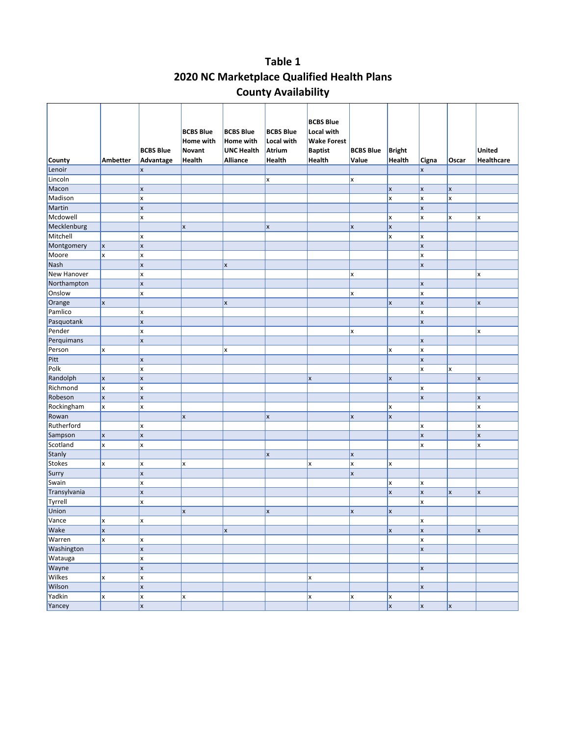### **Table 1 2020 NC Marketplace Qualified Health Plans County Availability**

| <b>County</b> | Ambetter     | <b>BCBS Blue</b><br>Advantage | <b>BCBS Blue</b><br>Home with<br><b>Novant</b><br><b>Health</b> | <b>BCBS Blue</b><br>Home with<br><b>UNC Health</b><br>Alliance | <b>BCBS Blue</b><br>Local with<br>Atrium<br><b>Health</b> | <b>BCBS Blue</b><br>Local with<br><b>Wake Forest</b><br><b>Baptist</b><br>Health | <b>BCBS Blue</b><br>Value | <b>Bright</b><br>Health | Cigna                     | Oscar        | <b>United</b><br>Healthcare |
|---------------|--------------|-------------------------------|-----------------------------------------------------------------|----------------------------------------------------------------|-----------------------------------------------------------|----------------------------------------------------------------------------------|---------------------------|-------------------------|---------------------------|--------------|-----------------------------|
| Lenoir        |              | X                             |                                                                 |                                                                |                                                           |                                                                                  |                           |                         | X                         |              |                             |
| Lincoln       |              |                               |                                                                 |                                                                | X                                                         |                                                                                  | x                         |                         |                           |              |                             |
| Macon         |              | X                             |                                                                 |                                                                |                                                           |                                                                                  |                           | X                       | $\boldsymbol{\mathsf{x}}$ | $\mathsf{x}$ |                             |
| Madison       |              | X                             |                                                                 |                                                                |                                                           |                                                                                  |                           | x                       | X                         | x            |                             |
| Martin        |              | X                             |                                                                 |                                                                |                                                           |                                                                                  |                           |                         | X                         |              |                             |
| Mcdowell      |              | x                             |                                                                 |                                                                |                                                           |                                                                                  |                           | X                       | x                         | X            | x                           |
| Mecklenburg   |              |                               | X                                                               |                                                                | X                                                         |                                                                                  | x                         | $\pmb{\mathsf{x}}$      |                           |              |                             |
| Mitchell      |              | X                             |                                                                 |                                                                |                                                           |                                                                                  |                           | x                       | X                         |              |                             |
| Montgomery    | $\mathsf{x}$ | X                             |                                                                 |                                                                |                                                           |                                                                                  |                           |                         | $\mathsf{x}$              |              |                             |
| Moore         | x            | X                             |                                                                 |                                                                |                                                           |                                                                                  |                           |                         | X                         |              |                             |
| Nash          |              | X                             |                                                                 | <b>x</b>                                                       |                                                           |                                                                                  |                           |                         | $\mathsf{x}$              |              |                             |
| New Hanover   |              | X                             |                                                                 |                                                                |                                                           |                                                                                  | x                         |                         |                           |              | X                           |
| Northampton   |              | X                             |                                                                 |                                                                |                                                           |                                                                                  |                           |                         | $\boldsymbol{\mathsf{x}}$ |              |                             |
| Onslow        |              | X                             |                                                                 |                                                                |                                                           |                                                                                  | x                         |                         | X                         |              |                             |
| Orange        | X            |                               |                                                                 | $\mathsf{x}$                                                   |                                                           |                                                                                  |                           | X                       | $\mathsf{x}$              |              | X                           |
| Pamlico       |              | x                             |                                                                 |                                                                |                                                           |                                                                                  |                           |                         | X                         |              |                             |
| Pasquotank    |              | $\mathsf{x}$                  |                                                                 |                                                                |                                                           |                                                                                  |                           |                         | $\mathsf{x}$              |              |                             |
| Pender        |              | X                             |                                                                 |                                                                |                                                           |                                                                                  | X                         |                         |                           |              | x                           |
| Perquimans    |              | X                             |                                                                 |                                                                |                                                           |                                                                                  |                           |                         | $\boldsymbol{\mathsf{x}}$ |              |                             |
| Person        | X            |                               |                                                                 | X                                                              |                                                           |                                                                                  |                           | x                       | X                         |              |                             |
| Pitt          |              | X                             |                                                                 |                                                                |                                                           |                                                                                  |                           |                         | $\mathsf{x}$              |              |                             |
| Polk          |              | x                             |                                                                 |                                                                |                                                           |                                                                                  |                           |                         | x                         | X            |                             |
| Randolph      | X            | X                             |                                                                 |                                                                |                                                           | x                                                                                |                           | X                       |                           |              | X                           |
| Richmond      | x            | X                             |                                                                 |                                                                |                                                           |                                                                                  |                           |                         | X                         |              |                             |
| Robeson       | X            | X                             |                                                                 |                                                                |                                                           |                                                                                  |                           |                         | X                         |              | X                           |
| Rockingham    | x            | x                             |                                                                 |                                                                |                                                           |                                                                                  |                           | X                       |                           |              | x                           |
| Rowan         |              |                               | X                                                               |                                                                | X                                                         |                                                                                  | x                         | $\mathsf{x}$            |                           |              |                             |
| Rutherford    |              | X                             |                                                                 |                                                                |                                                           |                                                                                  |                           |                         | X                         |              | X                           |
| Sampson       | X            | X                             |                                                                 |                                                                |                                                           |                                                                                  |                           |                         | $\mathsf{x}$              |              | $\mathsf{x}$                |
| Scotland      | x            | X                             |                                                                 |                                                                |                                                           |                                                                                  |                           |                         | X                         |              | X                           |
| Stanly        |              |                               |                                                                 |                                                                | X                                                         |                                                                                  | $\mathsf{x}$              |                         |                           |              |                             |
| <b>Stokes</b> | x            | x                             | X                                                               |                                                                |                                                           | x                                                                                | x                         | x                       |                           |              |                             |
| Surry         |              | X                             |                                                                 |                                                                |                                                           |                                                                                  | $\mathsf{x}$              |                         |                           |              |                             |
| Swain         |              | X                             |                                                                 |                                                                |                                                           |                                                                                  |                           | X                       | X                         |              |                             |
| Transylvania  |              | X                             |                                                                 |                                                                |                                                           |                                                                                  |                           | X                       | X                         | X            | X                           |
| Tyrrell       |              | x                             |                                                                 |                                                                |                                                           |                                                                                  |                           |                         | x                         |              |                             |
| Union         |              |                               | X                                                               |                                                                | x                                                         |                                                                                  | X                         | $\pmb{\mathsf{x}}$      |                           |              |                             |
| Vance         | $\mathbf{x}$ | X                             |                                                                 |                                                                |                                                           |                                                                                  |                           |                         | ¥                         |              |                             |
| Wake          | X            |                               |                                                                 | <b>x</b>                                                       |                                                           |                                                                                  |                           | $\vert x \vert$         | x                         |              | X                           |
| Warren        | x            | x                             |                                                                 |                                                                |                                                           |                                                                                  |                           |                         | x                         |              |                             |
| Washington    |              | X                             |                                                                 |                                                                |                                                           |                                                                                  |                           |                         | $\mathsf{x}$              |              |                             |
| Watauga       |              | x                             |                                                                 |                                                                |                                                           |                                                                                  |                           |                         |                           |              |                             |
| Wayne         |              | $\mathsf{x}$                  |                                                                 |                                                                |                                                           |                                                                                  |                           |                         | $\mathsf{x}$              |              |                             |
| <b>Wilkes</b> | x            | x                             |                                                                 |                                                                |                                                           | x                                                                                |                           |                         |                           |              |                             |
| Wilson        |              | $\mathsf{x}$                  |                                                                 |                                                                |                                                           |                                                                                  |                           |                         | $\mathsf{x}$              |              |                             |
| Yadkin        | X            | X                             | <b>x</b>                                                        |                                                                |                                                           | <b>x</b>                                                                         | X                         | x                       |                           |              |                             |
| Yancey        |              | $\mathsf{x}$                  |                                                                 |                                                                |                                                           |                                                                                  |                           | $\vert$ x               | $\mathsf{x}$              | $\mathsf{x}$ |                             |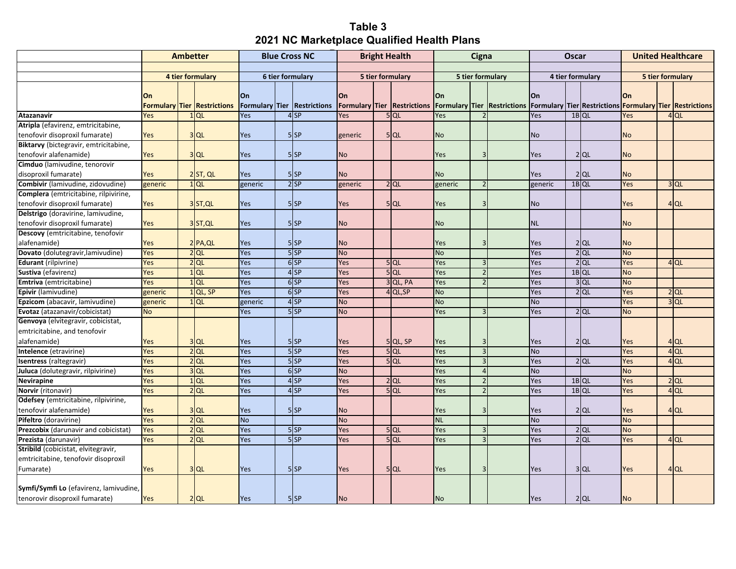### **Table 3 2021 NC Marketplace Qualified Health Plans**

|                                        | <b>Ambetter</b> |  | <b>Blue Cross NC</b>               |                         | <b>Bright Health</b> |                             | Cigna     |                  | <b>Oscar</b>                       |                  | <b>United Healthcare</b> |                                                                                            |                  |  |         |                  |        |                 |
|----------------------------------------|-----------------|--|------------------------------------|-------------------------|----------------------|-----------------------------|-----------|------------------|------------------------------------|------------------|--------------------------|--------------------------------------------------------------------------------------------|------------------|--|---------|------------------|--------|-----------------|
|                                        |                 |  |                                    |                         |                      |                             |           |                  |                                    |                  |                          |                                                                                            |                  |  |         |                  |        |                 |
|                                        |                 |  | 4 tier formulary                   | <b>6 tier formulary</b> |                      |                             |           | 5 tier formulary |                                    | 5 tier formulary |                          |                                                                                            | 4 tier formulary |  |         | 5 tier formulary |        |                 |
|                                        |                 |  |                                    |                         |                      |                             |           |                  |                                    |                  |                          |                                                                                            |                  |  |         |                  |        |                 |
|                                        | On              |  |                                    | On                      |                      |                             | On        |                  |                                    | On               |                          |                                                                                            | On               |  |         | On               |        |                 |
|                                        |                 |  | <b>Formulary Tier Restrictions</b> |                         |                      | Formulary Tier Restrictions |           |                  | <b>Formulary Tier Restrictions</b> |                  |                          | <b>Formulary Tier Restrictions Formulary Tier Restrictions Formulary Tier Restrictions</b> |                  |  |         |                  |        |                 |
| <b>Atazanavir</b>                      | Yes             |  | $1$ QL                             | <b>Yes</b>              |                      | $4$ SP                      | Yes       |                  | $5$ QL                             | Yes              |                          |                                                                                            | Yes              |  | $1B$ QL | Yes              |        | $4$ QL          |
| Atripla (efavirenz, emtricitabine,     |                 |  |                                    |                         |                      |                             |           |                  |                                    |                  |                          |                                                                                            |                  |  |         |                  |        |                 |
| tenofovir disoproxil fumarate)         | Yes             |  | $3$ QL                             | Yes                     |                      | $5$ $SP$                    | generic   |                  | $5$ QL                             | No               |                          |                                                                                            | <b>No</b>        |  |         | No               |        |                 |
| Biktarvy (bictegravir, emtricitabine,  |                 |  |                                    |                         |                      |                             |           |                  |                                    |                  |                          |                                                                                            |                  |  |         |                  |        |                 |
| tenofovir alafenamide)                 | Yes             |  | $3$ QL                             | Yes                     |                      | $5$ $SP$                    | <b>No</b> |                  |                                    | Yes              |                          |                                                                                            | Yes              |  | $2$ QL  | No               |        |                 |
| Cimduo (lamivudine, tenorovir          |                 |  |                                    |                         |                      |                             |           |                  |                                    |                  |                          |                                                                                            |                  |  |         |                  |        |                 |
| disoproxil fumarate)                   | Yes             |  | $2$ ST, QL                         | Yes                     |                      | $5$ $SP$                    | No        |                  |                                    | <b>No</b>        |                          |                                                                                            | Yes              |  | $2$ QL  | No               |        |                 |
| Combivir (lamivudine, zidovudine)      | generic         |  | $1$ QL                             | generic                 |                      | $2$ SP                      | generic   |                  | $2$ QL                             | generic          | $\overline{z}$           |                                                                                            | generic          |  | $1B$ QL | Yes              |        | $3$ QL          |
| Complera (emtricitabine, rilpivirine,  |                 |  |                                    |                         |                      |                             |           |                  |                                    |                  |                          |                                                                                            |                  |  |         |                  |        |                 |
| tenofovir disoproxil fumarate)         | Yes             |  | 3ST, QL                            | Yes                     |                      | $5$ $SP$                    | Yes       |                  | $5$ QL                             | Yes              |                          |                                                                                            | <b>No</b>        |  |         | Yes              |        | 4 QL            |
| Delstrigo (doravirine, lamivudine,     |                 |  |                                    |                         |                      |                             |           |                  |                                    |                  |                          |                                                                                            |                  |  |         |                  |        |                 |
| tenofovir disoproxil fumarate)         | Yes             |  | 3ST, QL                            | Yes                     |                      | $5$ $SP$                    | No        |                  |                                    | <b>No</b>        |                          |                                                                                            | <b>NL</b>        |  |         | No               |        |                 |
| Descovy (emtricitabine, tenofovir      |                 |  |                                    |                         |                      |                             |           |                  |                                    |                  |                          |                                                                                            |                  |  |         |                  |        |                 |
| alafenamide)                           | Yes             |  | $2$ $PA,QL$                        | Yes                     |                      | $5$ $SP$                    | No        |                  |                                    | Yes              |                          |                                                                                            | Yes              |  | $2$ QL  | No               |        |                 |
| Dovato (dolutegravir, lamivudine)      | Yes             |  | $2$ QL                             | Yes                     |                      | $5$ $SP$                    | <b>No</b> |                  |                                    | <b>No</b>        |                          |                                                                                            | Yes              |  | $2$ QL  | <b>No</b>        |        |                 |
| <b>Edurant</b> (rilpivrine)            | Yes             |  | $2$ QL                             | Yes                     |                      | 6S                          | Yes       |                  | $5$ QL                             | Yes              |                          |                                                                                            | Yes              |  | $2$ QL  | Yes              |        | $4$ QL          |
| Sustiva (efavirenz)                    | Yes             |  | $1$ QL                             | Yes                     |                      | 4 <sub>SP</sub>             | Yes       |                  | $5$ QL                             | Yes              |                          |                                                                                            | Yes              |  | 1BOL    | <b>No</b>        |        |                 |
| Emtriva (emtricitabine)                | Yes             |  | $1$ QL                             | Yes                     |                      | $6$ SP                      | Yes       |                  | $3$ QL, PA                         | Yes              | $\overline{\phantom{0}}$ |                                                                                            | Yes              |  | $3$ QL  | <b>No</b>        |        |                 |
| Epivir (lamivudine)                    | generic         |  | $1$ QL, SP                         | Yes                     |                      | $6$ SP                      | Yes       |                  | 4 QL, SP                           | <b>No</b>        |                          |                                                                                            | Yes              |  | $2$ QL  | Yes              | $2$ QL |                 |
| Epzicom (abacavir, lamivudine)         | generic         |  | $1$ QL                             | generic                 |                      | $4$ SP                      | <b>No</b> |                  |                                    | <b>No</b>        |                          |                                                                                            | <b>No</b>        |  |         | Yes              |        | 3 <sub>QL</sub> |
| Evotaz (atazanavir/cobicistat)         | <b>No</b>       |  |                                    | Yes                     |                      | $5$ SP                      | <b>No</b> |                  |                                    | Yes              | $\mathbf{3}$             |                                                                                            | Yes              |  | $2$ QL  | <b>No</b>        |        |                 |
| Genvoya (elvitegravir, cobicistat,     |                 |  |                                    |                         |                      |                             |           |                  |                                    |                  |                          |                                                                                            |                  |  |         |                  |        |                 |
| emtricitabine, and tenofovir           |                 |  |                                    |                         |                      |                             |           |                  |                                    |                  |                          |                                                                                            |                  |  |         |                  |        |                 |
| alafenamide)                           | Yes             |  | $3$ QL                             | Yes                     |                      | $5$ $SP$                    | Yes       |                  | 5QL, SP                            | Yes              |                          |                                                                                            | Yes              |  | $2$ QL  | Yes              |        | $4$ QL          |
| <b>Intelence</b> (etravirine)          | Yes             |  | $\overline{2}$ QL                  | Yes                     |                      | 55P                         | Yes       |                  | 5QL                                | Yes              | $\overline{3}$           |                                                                                            | <b>No</b>        |  |         | Yes              |        | $4$ QL          |
| Isentress (raltegravir)                | Yes             |  | $2$ QL                             | Yes                     |                      | $5$ $SP$                    | Yes       |                  | $5$ QL                             | Yes              |                          |                                                                                            | Yes              |  | $2$ QL  | Yes              |        | $4$ QL          |
| Juluca (dolutegravir, rilpivirine)     | Yes             |  | $3$ QL                             | Yes                     |                      | $6$ SP                      | No        |                  |                                    | Yes              |                          |                                                                                            | <b>No</b>        |  |         | <b>No</b>        |        |                 |
| <b>Nevirapine</b>                      | Yes             |  | $1$ QL                             | Yes                     |                      | $4$ SP                      | Yes       |                  | $2$ QL                             | Yes              |                          |                                                                                            | Yes              |  | 1B QL   | Yes              |        | $2$ QL          |
| Norvir (ritonavir)                     | Yes             |  | $2$ QL                             | Yes                     |                      | $4$ SP                      | Yes       |                  | 5QL                                | Yes              |                          |                                                                                            | Yes              |  | 1B QL   | Yes              |        | $4$ QL          |
| Odefsey (emtricitabine, rilpivirine,   |                 |  |                                    |                         |                      |                             |           |                  |                                    |                  |                          |                                                                                            |                  |  |         |                  |        |                 |
| tenofovir alafenamide)                 | Yes             |  | $3$ QL                             | Yes                     |                      | 5 <sub>SP</sub>             | No        |                  |                                    | Yes              |                          |                                                                                            | Yes              |  | $2$ QL  | Yes              |        | 4 QL            |
| Pifeltro (doravirine)                  | Yes             |  | $2$ QL                             | <b>No</b>               |                      |                             | <b>No</b> |                  |                                    | <b>NL</b>        |                          |                                                                                            | <b>No</b>        |  |         | <b>No</b>        |        |                 |
| Prezcobix (darunavir and cobicistat)   | Yes             |  | $2$ QL                             | Yes                     |                      | $5$ SP                      | Yes       |                  | $5$ QL                             | Yes              |                          |                                                                                            | Yes              |  | $2$ QL  | <b>No</b>        |        |                 |
| Prezista (darunavir)                   | Yes             |  | $2$ QL                             | Yes                     |                      | 55P                         | Yes       |                  | 5QL                                | Yes              | $\overline{3}$           |                                                                                            | Yes              |  | $2$ QL  | Yes              |        | $4$ QL          |
| Stribild (cobicistat, elvitegravir,    |                 |  |                                    |                         |                      |                             |           |                  |                                    |                  |                          |                                                                                            |                  |  |         |                  |        |                 |
| emtricitabine, tenofovir disoproxil    |                 |  |                                    |                         |                      |                             |           |                  |                                    |                  |                          |                                                                                            |                  |  |         |                  |        |                 |
| Fumarate)                              | Yes             |  | $3$ QL                             | Yes                     |                      | $5$ $SP$                    | Yes       |                  | $5$ QL                             | Yes              | 3                        |                                                                                            | Yes              |  | $3$ QL  | Yes              |        | $4$ QL          |
|                                        |                 |  |                                    |                         |                      |                             |           |                  |                                    |                  |                          |                                                                                            |                  |  |         |                  |        |                 |
| Symfi/Symfi Lo (efavirenz, lamivudine, |                 |  |                                    |                         |                      |                             |           |                  |                                    |                  |                          |                                                                                            |                  |  |         |                  |        |                 |
| tenorovir disoproxil fumarate)         | Yes             |  | $2$ QL                             | Yes                     |                      | $5$ $SP$                    | No        |                  |                                    | <b>No</b>        |                          |                                                                                            | Yes              |  | 2 QL    | No               |        |                 |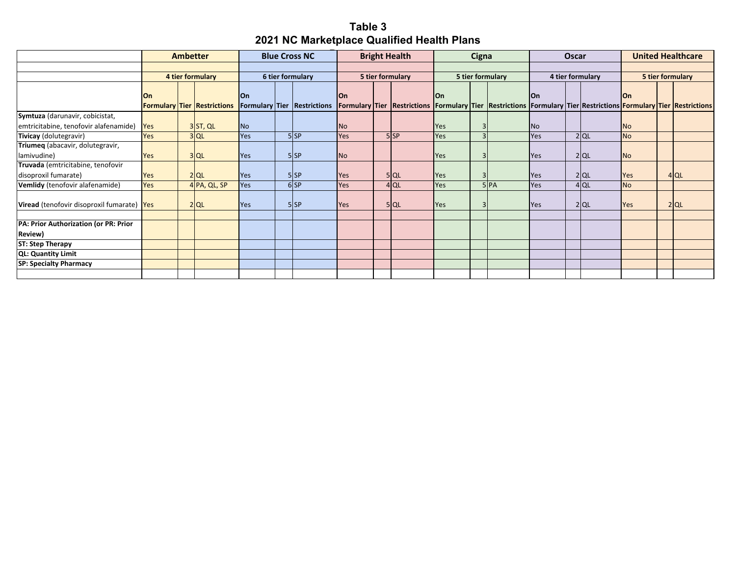### **Table 3 2021 NC Marketplace Qualified Health Plans**

|                                                          |           | <b>Ambetter</b>                    |           | <b>Blue Cross NC</b>               |           | <b>Bright Health</b> |          |            | Cigna |                                                                                                                 |                | <b>Oscar</b> |                  |           | <b>United Healthcare</b> |
|----------------------------------------------------------|-----------|------------------------------------|-----------|------------------------------------|-----------|----------------------|----------|------------|-------|-----------------------------------------------------------------------------------------------------------------|----------------|--------------|------------------|-----------|--------------------------|
|                                                          |           |                                    |           |                                    |           |                      |          |            |       |                                                                                                                 |                |              |                  |           |                          |
|                                                          |           | 4 tier formulary                   |           | 6 tier formulary                   |           | 5 tier formulary     |          |            |       | 5 tier formulary                                                                                                |                |              | 4 tier formulary |           | 5 tier formulary         |
|                                                          | <b>On</b> | <b>Formulary Tier Restrictions</b> | <b>On</b> | <b>Formulary Tier Restrictions</b> | <b>On</b> |                      |          | lOn        |       | Formulary Tier Restrictions Formulary Tier Restrictions Formulary Tier Restrictions Formulary Tier Restrictions | <b>On</b>      |              |                  | lOn       |                          |
| Symtuza (darunavir, cobicistat,                          |           |                                    |           |                                    |           |                      |          |            |       |                                                                                                                 |                |              |                  |           |                          |
| emtricitabine, tenofovir alafenamide)                    | Yes       | 3ST, QL                            | <b>No</b> |                                    | <b>No</b> |                      |          | <b>Yes</b> |       |                                                                                                                 | N <sub>o</sub> |              |                  | <b>No</b> |                          |
| Tivicay (dolutegravir)                                   | Yes       | $3$ QL                             | Yes       | $5$ $SP$                           | Yes       |                      | $5$ $SP$ | <b>Yes</b> |       |                                                                                                                 | <b>Yes</b>     |              | $2$ QL           | <b>No</b> |                          |
| Triumeq (abacavir, dolutegravir,                         |           |                                    |           |                                    |           |                      |          |            |       |                                                                                                                 |                |              |                  |           |                          |
| lamivudine)                                              | Yes       | $3$ QL                             | Yes       | $5$ $SP$                           | <b>No</b> |                      |          | <b>Yes</b> |       |                                                                                                                 | <b>Yes</b>     |              | 2 QL             | <b>No</b> |                          |
| Truvada (emtricitabine, tenofovir                        |           |                                    |           |                                    |           |                      |          |            |       |                                                                                                                 |                |              |                  |           |                          |
| disoproxil fumarate)                                     | Yes       | $2$ QL                             | Yes       | $5$ $SP$                           | Yes       |                      | 5 QL     | <b>Yes</b> |       |                                                                                                                 | <b>Yes</b>     |              | 2 QL             | Yes       | $4$ QL                   |
| Vemlidy (tenofovir alafenamide)                          | Yes       | 4 PA, QL, SP                       | Yes       | $6$ SP                             | Yes       |                      | $4$ QL   | <b>Yes</b> |       | 5 <sub>PA</sub>                                                                                                 | <b>Yes</b>     |              | $4$ QL           | <b>No</b> |                          |
| Viread (tenofovir disoproxil fumarate) Yes               |           | $2$ QL                             | Yes       | 5 <sub>SP</sub>                    | Yes       |                      | 5 QL     | <b>Yes</b> |       |                                                                                                                 | <b>Yes</b>     |              | 2 QL             | Yes       | $2$ QL                   |
|                                                          |           |                                    |           |                                    |           |                      |          |            |       |                                                                                                                 |                |              |                  |           |                          |
| PA: Prior Authorization (or PR: Prior<br><b>Review</b> ) |           |                                    |           |                                    |           |                      |          |            |       |                                                                                                                 |                |              |                  |           |                          |
| <b>ST: Step Therapy</b>                                  |           |                                    |           |                                    |           |                      |          |            |       |                                                                                                                 |                |              |                  |           |                          |
| QL: Quantity Limit                                       |           |                                    |           |                                    |           |                      |          |            |       |                                                                                                                 |                |              |                  |           |                          |
| <b>SP: Specialty Pharmacy</b>                            |           |                                    |           |                                    |           |                      |          |            |       |                                                                                                                 |                |              |                  |           |                          |
|                                                          |           |                                    |           |                                    |           |                      |          |            |       |                                                                                                                 |                |              |                  |           |                          |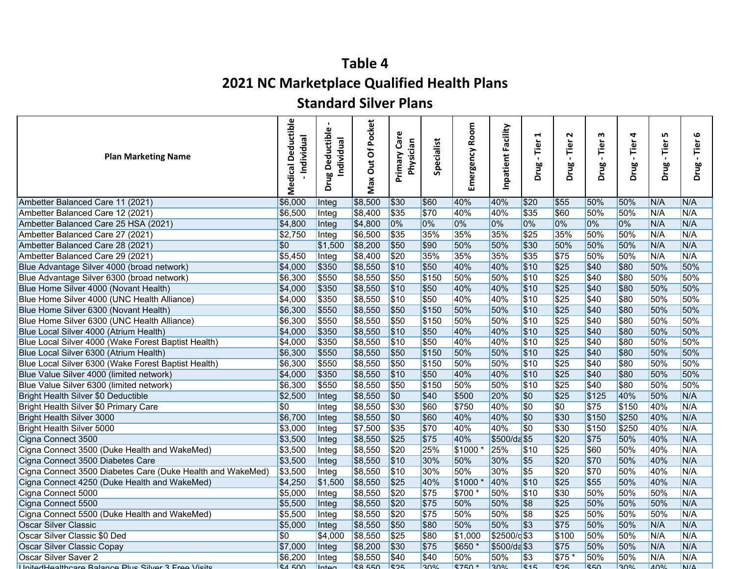### **2021 NC Marketplace Qualified Health Plans**

### **Standard Silver Plans**

| <b>Plan Marketing Name</b>                                 | <b>Medical Deductible</b><br>- Individual | $\mathbf{Q}$<br><b>Drug Deductibl</b><br>Individual | Of Pocket<br>Jut<br>Max | Care<br>Physician<br>Primary | Specialist       | Room<br>ergency<br>Ĕ | Inpatient Facility | 4<br>Tier<br>Drug | $\sim$<br>Tier<br>Drug | m<br>Tier<br>$\blacksquare$<br>Drug | 4<br>Tier<br>$\blacksquare$<br>Drug | LO.<br>Tier<br>Drug | 6<br>Tier<br>$\blacksquare$<br>Drug |
|------------------------------------------------------------|-------------------------------------------|-----------------------------------------------------|-------------------------|------------------------------|------------------|----------------------|--------------------|-------------------|------------------------|-------------------------------------|-------------------------------------|---------------------|-------------------------------------|
| Ambetter Balanced Care 11 (2021)                           | \$6,000                                   | Integ                                               | \$8,500                 | \$30                         | \$60             | 40%                  | 40%                | \$20              | \$55                   | 50%                                 | 50%                                 | N/A                 | N/A                                 |
| Ambetter Balanced Care 12 (2021)                           | \$6,500                                   | Integ                                               | \$8,400                 | \$35                         | \$70             | 40%                  | 40%                | \$35              | \$60                   | 50%                                 | 50%                                 | N/A                 | N/A                                 |
| Ambetter Balanced Care 25 HSA (2021)                       | \$4,800                                   | Integ                                               | \$4,800                 | 0%                           | 0%               | 0%                   | 0%                 | 0%                | 0%                     | 0%                                  | 0%                                  | N/A                 | N/A                                 |
| Ambetter Balanced Care 27 (2021)                           | \$2,750                                   | Integ                                               | \$6,500                 | \$35                         | 35%              | 35%                  | 35%                | \$25              | 35%                    | 50%                                 | 50%                                 | N/A                 | N/A                                 |
| Ambetter Balanced Care 28 (2021)                           | \$0                                       | \$1,500                                             | \$8,200                 | \$50                         | \$90             | 50%                  | 50%                | \$30              | 50%                    | 50%                                 | 50%                                 | N/A                 | N/A                                 |
| Ambetter Balanced Care 29 (2021)                           | \$5,450                                   | Integ                                               | \$8,400                 | \$20                         | 35%              | 35%                  | 35%                | \$35              | \$75                   | 50%                                 | 50%                                 | N/A                 | N/A                                 |
| Blue Advantage Silver 4000 (broad network)                 | \$4,000                                   | \$350                                               | \$8,550                 | \$10                         | \$50             | 40%                  | 40%                | \$10              | \$25                   | \$40                                | \$80                                | 50%                 | 50%                                 |
| Blue Advantage Silver 6300 (broad network)                 | \$6,300                                   | \$550                                               | \$8,550                 | \$50                         | \$150            | 50%                  | 50%                | \$10              | $\sqrt{$25}$           | \$40                                | \$80                                | 50%                 | 50%                                 |
| Blue Home Silver 4000 (Novant Health)                      | \$4,000                                   | \$350                                               | \$8,550                 | \$10                         | \$50             | 40%                  | 40%                | \$10              | \$25                   | \$40                                | \$80                                | 50%                 | 50%                                 |
| Blue Home Silver 4000 (UNC Health Alliance)                | \$4,000                                   | \$350                                               | \$8,550                 | 510                          | \$50             | 40%                  | 40%                | \$10              | \$25                   | \$40                                | \$80                                | 50%                 | 50%                                 |
| Blue Home Silver 6300 (Novant Health)                      | \$6,300                                   | \$550                                               | \$8,550                 | \$50                         | \$150            | 50%                  | 50%                | \$10              | \$25                   | \$40                                | \$80                                | 50%                 | 50%                                 |
| Blue Home Silver 6300 (UNC Health Alliance)                | \$6,300                                   | \$550                                               | \$8,550                 | \$50                         | \$150            | 50%                  | 50%                | \$10              | $\sqrt{$25}$           | \$40                                | \$80                                | 50%                 | 50%                                 |
| Blue Local Silver 4000 (Atrium Health)                     | \$4,000                                   | \$350                                               | \$8,550                 | \$10                         | \$50             | 40%                  | 40%                | \$10              | \$25                   | \$40                                | \$80                                | 50%                 | 50%                                 |
| Blue Local Silver 4000 (Wake Forest Baptist Health)        | \$4,000                                   | \$350                                               | \$8,550                 | 510                          | \$50             | 40%                  | 40%                | \$10              | \$25                   | \$40                                | \$80                                | 50%                 | 50%                                 |
| Blue Local Silver 6300 (Atrium Health)                     | \$6,300                                   | \$550                                               | \$8,550                 | \$50                         | \$150            | 50%                  | 50%                | \$10              | \$25                   | \$40                                | \$80                                | 50%                 | 50%                                 |
| Blue Local Silver 6300 (Wake Forest Baptist Health)        | \$6,300                                   | \$550                                               | \$8,550                 | \$50                         | \$150            | 50%                  | 50%                | \$10              | \$25                   | \$40                                | \$80                                | 50%                 | 50%                                 |
| Blue Value Silver 4000 (limited network)                   | \$4,000                                   | \$350                                               | \$8,550                 | s10                          | \$50             | 40%                  | 40%                | \$10              | \$25                   | \$40                                | \$80                                | 50%                 | 50%                                 |
| Blue Value Silver 6300 (limited network)                   | \$6,300                                   | \$550                                               | \$8,550                 | \$50                         | \$150            | 50%                  | 50%                | \$10              | \$25                   | \$40                                | \$80                                | 50%                 | 50%                                 |
| Bright Health Silver \$0 Deductible                        | \$2,500                                   | Integ                                               | \$8,550                 | \$0                          | \$40             | \$500                | 20%                | \$0               | \$25                   | \$125                               | 40%                                 | 50%                 | N/A                                 |
| Bright Health Silver \$0 Primary Care                      | $\sqrt{50}$                               | Integ                                               | \$8,550                 | \$30                         | \$60             | \$750                | 40%                | \$0               | \$0                    | \$75                                | \$150                               | 40%                 | N/A                                 |
| <b>Bright Health Silver 3000</b>                           | \$6,700                                   | Integ                                               | \$8,550                 | \$0                          | \$60             | 40%                  | 40%                | $\sqrt{50}$       | \$30                   | \$150                               | \$250                               | 40%                 | N/A                                 |
| Bright Health Silver 5000                                  | \$3,000                                   | Integ                                               | \$7,500                 | 535                          | \$70             | 40%                  | 40%                | $\overline{\$0}$  | \$30                   | \$150                               | \$250                               | 40%                 | N/A                                 |
| Cigna Connect 3500                                         | \$3,500                                   | Integ                                               | \$8,550                 | $\sqrt{$25}$                 | \$75             | 40%                  | \$500/da \$5       |                   | \$20                   | \$75                                | 50%                                 | 40%                 | N/A                                 |
| Cigna Connect 3500 (Duke Health and WakeMed)               | \$3,500                                   | Integ                                               | \$8,550                 | \$20                         | 25%              | $$1000*$             | 25%                | \$10              | \$25                   | \$60                                | 50%                                 | 40%                 | N/A                                 |
| Cigna Connect 3500 Diabetes Care                           | \$3,500                                   | Integ                                               | \$8,550                 | s10                          | 30%              | 50%                  | 30%                | \$5               | \$20                   | \$70                                | 50%                                 | 40%                 | N/A                                 |
| Cigna Connect 3500 Diabetes Care (Duke Health and WakeMed) | \$3,500                                   | Integ                                               | \$8,550                 | 510                          | 30%              | 50%                  | 30%                | $\overline{\$5}$  | \$20                   | \$70                                | 50%                                 | 40%                 | N/A                                 |
| Cigna Connect 4250 (Duke Health and WakeMed)               | \$4,250                                   | \$1,500                                             | \$8,550                 | $\sqrt{$25}$                 | 40%              | \$1000               | 40%                | \$10              | \$25                   | \$55                                | 50%                                 | 40%                 | N/A                                 |
| Cigna Connect 5000                                         | \$5,000                                   | Integ                                               | \$8,550                 | \$20                         | \$75             | \$700 *              | 50%                | \$10              | \$30                   | 50%                                 | 50%                                 | 50%                 | N/A                                 |
| Cigna Connect 5500                                         | \$5,500                                   | Integ                                               | \$8,550                 | s20                          | \$75             | 50%                  | 50%                | \$8               | \$25                   | 50%                                 | 50%                                 | 50%                 | N/A                                 |
| Cigna Connect 5500 (Duke Health and WakeMed)               | \$5,500                                   | Integ                                               | \$8,550                 | \$20                         | \$75             | 50%                  | 50%                | \$8               | \$25                   | 50%                                 | 50%                                 | 50%                 | N/A                                 |
| <b>Oscar Silver Classic</b>                                | \$5,000                                   | Integ                                               | \$8,550                 | 550                          | \$80             | 50%                  | 50%                | $\sqrt{3}$        | \$75                   | 50%                                 | 50%                                 | N/A                 | N/A                                 |
| Oscar Silver Classic \$0 Ded                               | $\sqrt{50}$                               | \$4,000                                             | \$8,550                 | $\sqrt{$25}$                 | \$80             | \$1,000              | \$2500/c \$3       |                   | \$100                  | 50%                                 | 50%                                 | N/A                 | N/A                                 |
| Oscar Silver Classic Copay                                 | \$7,000                                   | Integ                                               | \$8,200                 | \$30                         | \$75             | \$650 *              | \$500/da\$3        |                   | \$75                   | 50%                                 | 50%                                 | N/A                 | N/A                                 |
| Oscar Silver Saver 2                                       | \$6,200                                   | Integ                                               | \$8,550                 | \$40                         | \$40             | 50%                  | 50%                | $\sqrt{3}$        | $\overline{$75}$       | 50%                                 | 50%                                 | N/A                 | N/A                                 |
| LibitadHaalthcara Ralance Plus Silver 3 Free Visite        | $R = 500$                                 | $l$ <sub>ntoq</sub>                                 | QQEQ                    | $\sqrt{2}$                   | 200 <sub>6</sub> | $\sqrt{4750}$ *      | 200 <sub>6</sub>   | Q15               | セクト                    | E                                   | 200 <sub>6</sub>                    | 1100L               | <b>NI/A</b>                         |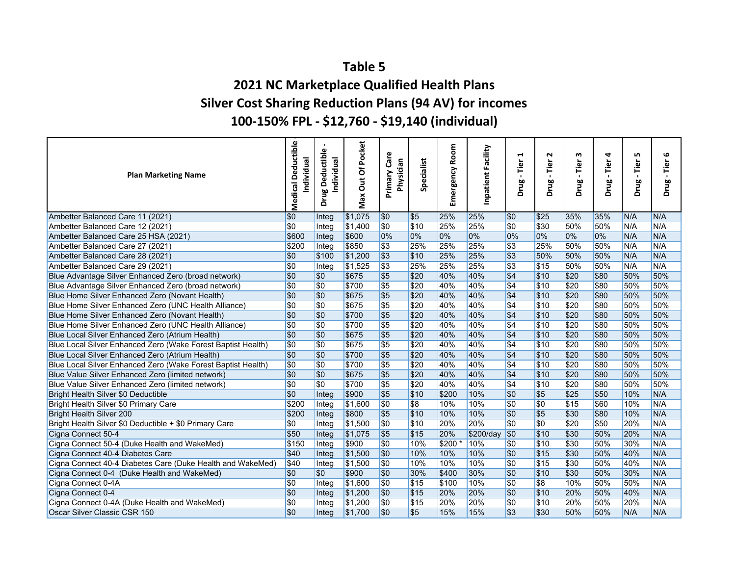## **2021 NC Marketplace Qualified Health Plans Silver Cost Sharing Reduction Plans (94 AV) for incomes 100‐150% FPL ‐ \$12,760 ‐ \$19,140 (individual)**

| <b>Plan Marketing Name</b>                                   | Deductible<br>Individual<br>Medical | $\omega$<br>Deductibl<br>Individual<br>Drug | Of Pocket<br>J<br>Max | $\omega$<br>Primary Car<br>Physician | Specialist       | Room<br>Emergency | Inpatient Facility | 1<br>Tier<br>Drug | $\sim$<br>Tier<br>Drug | w<br>Tier<br><b>Drug</b> | 4<br>Tier<br>$\blacksquare$<br><b>Drug</b> | LN,<br>Tier<br>Drug | ဖ<br>Tier<br>$\blacksquare$<br>Drug |
|--------------------------------------------------------------|-------------------------------------|---------------------------------------------|-----------------------|--------------------------------------|------------------|-------------------|--------------------|-------------------|------------------------|--------------------------|--------------------------------------------|---------------------|-------------------------------------|
| Ambetter Balanced Care 11 (2021)                             | \$0                                 | Integ                                       | \$1,075               | \$0                                  | \$5              | 25%               | 25%                | \$0               | \$25                   | 35%                      | 35%                                        | N/A                 | N/A                                 |
| Ambetter Balanced Care 12 (2021)                             | \$0                                 | Integ                                       | 51,400                | $\sqrt{50}$                          | \$10             | 25%               | 25%                | \$0               | \$30                   | 50%                      | 50%                                        | N/A                 | N/A                                 |
| Ambetter Balanced Care 25 HSA (2021)                         | \$600                               | Integ                                       | \$600                 | 0%                                   | 0%               | 0%                | 0%                 | 0%                | 0%                     | 0%                       | 0%                                         | N/A                 | N/A                                 |
| Ambetter Balanced Care 27 (2021)                             | \$200                               | Integ                                       | \$850                 | \$3                                  | 25%              | 25%               | 25%                | \$3               | 25%                    | 50%                      | 50%                                        | N/A                 | N/A                                 |
| Ambetter Balanced Care 28 (2021)                             | \$0                                 | \$100                                       | \$1,200               | $\sqrt{3}$                           | \$10             | 25%               | 25%                | $\overline{$3}$   | 50%                    | 50%                      | 50%                                        | N/A                 | N/A                                 |
| Ambetter Balanced Care 29 (2021)                             | $\overline{\$0}$                    | Integ                                       | \$1,525               | $\sqrt{3}$                           | 25%              | 25%               | 25%                | $\overline{$3}$   | \$15                   | 50%                      | 50%                                        | N/A                 | N/A                                 |
| Blue Advantage Silver Enhanced Zero (broad network)          | \$0                                 | \$0                                         | \$675                 | $\overline{\$5}$                     | \$20             | 40%               | 40%                | $\overline{$4}$   | \$10                   | \$20                     | \$80                                       | 50%                 | 50%                                 |
| Blue Advantage Silver Enhanced Zero (broad network)          | \$0                                 | \$0                                         | \$700                 | $\sqrt{5}$                           | \$20             | 40%               | 40%                | $\sqrt{34}$       | \$10                   | \$20                     | \$80                                       | 50%                 | 50%                                 |
| Blue Home Silver Enhanced Zero (Novant Health)               | \$0                                 | \$0                                         | \$675                 | $\overline{\$5}$                     | \$20             | 40%               | 40%                | $\overline{$4}$   | \$10                   | \$20                     | \$80                                       | 50%                 | 50%                                 |
| Blue Home Silver Enhanced Zero (UNC Health Alliance)         | \$0                                 | \$0                                         | \$675                 | \$5                                  | \$20             | 40%               | 40%                | $\sqrt{34}$       | \$10                   | \$20                     | \$80                                       | 50%                 | 50%                                 |
| Blue Home Silver Enhanced Zero (Novant Health)               | $\overline{\$0}$                    | \$0                                         | \$700                 | $\sqrt{5}$                           | \$20             | 40%               | 40%                | $\overline{$4}$   | \$10                   | \$20                     | \$80                                       | 50%                 | 50%                                 |
| Blue Home Silver Enhanced Zero (UNC Health Alliance)         | \$0                                 | \$0                                         | \$700                 | $\overline{\$5}$                     | \$20             | 40%               | 40%                | $\sqrt{4}$        | \$10                   | \$20                     | \$80                                       | 50%                 | 50%                                 |
| Blue Local Silver Enhanced Zero (Atrium Health)              | $\overline{\$0}$                    | $\overline{\$0}$                            | \$675                 | $\overline{\$5}$                     | \$20             | 40%               | 40%                | $\overline{$4}$   | \$10                   | \$20                     | \$80                                       | 50%                 | 50%                                 |
| Blue Local Silver Enhanced Zero (Wake Forest Baptist Health) | \$0                                 | \$0                                         | \$675                 | $\sqrt{5}$                           | \$20             | 40%               | 40%                | $\sqrt{34}$       | \$10                   | \$20                     | \$80                                       | 50%                 | 50%                                 |
| Blue Local Silver Enhanced Zero (Atrium Health)              | $\overline{\$0}$                    | \$0                                         | \$700                 | $\sqrt{5}$                           | \$20             | 40%               | 40%                | $\overline{$4}$   | \$10                   | \$20                     | \$80                                       | 50%                 | 50%                                 |
| Blue Local Silver Enhanced Zero (Wake Forest Baptist Health) | $\overline{\$0}$                    | \$0                                         | \$700                 | $\overline{\$5}$                     | \$20             | 40%               | 40%                | $\sqrt{34}$       | \$10                   | \$20                     | \$80                                       | 50%                 | 50%                                 |
| Blue Value Silver Enhanced Zero (limited network)            | \$0                                 | \$0                                         | \$675                 | \$5                                  | \$20             | 40%               | 40%                | $\overline{$4}$   | \$10                   | \$20                     | \$80                                       | 50%                 | 50%                                 |
| Blue Value Silver Enhanced Zero (limited network)            | $\overline{\$0}$                    | $\overline{30}$                             | \$700                 | $\overline{\$5}$                     | \$20             | 40%               | 40%                | $\sqrt{34}$       | \$10                   | \$20                     | \$80                                       | 50%                 | 50%                                 |
| Bright Health Silver \$0 Deductible                          | \$0                                 | Integ                                       | \$900                 | \$5                                  | \$10             | \$200             | 10%                | \$0               | $ $ \$5                | \$25                     | \$50                                       | 10%                 | N/A                                 |
| Bright Health Silver \$0 Primary Care                        | \$200                               | Integ                                       | \$1,600               | \$0                                  | $\overline{\$8}$ | 10%               | 10%                | \$0               | $\overline{\$0}$       | $\sqrt{$15}$             | \$60                                       | 10%                 | N/A                                 |
| Bright Health Silver 200                                     | \$200                               | Integ                                       | \$800                 | $\sqrt{5}$                           | \$10             | 10%               | 10%                | $\overline{\$0}$  | $\sqrt{5}$             | \$30                     | \$80                                       | 10%                 | N/A                                 |
| Bright Health Silver \$0 Deductible + \$0 Primary Care       | \$0                                 | Integ                                       | \$1,500               | $\overline{\$0}$                     | \$10             | 20%               | 20%                | $\overline{\$0}$  | $\overline{\$0}$       | \$20                     | \$50                                       | 20%                 | N/A                                 |
| Cigna Connect 50-4                                           | \$50                                | Integ                                       | \$1,075               | \$5                                  | \$15             | 20%               | \$200/day          | \$0               | \$10                   | \$30                     | 50%                                        | 20%                 | N/A                                 |
| Cigna Connect 50-4 (Duke Health and WakeMed)                 | \$150                               | Integ                                       | \$900                 | $\overline{50}$                      | 10%              | $$200*$           | 10%                | \$0               | 510                    | \$30                     | 50%                                        | 30%                 | N/A                                 |
| Cigna Connect 40-4 Diabetes Care                             | \$40                                | Integ                                       | \$1,500               | $\overline{\$0}$                     | 10%              | 10%               | 10%                | \$0               | \$15                   | \$30                     | 50%                                        | 40%                 | N/A                                 |
| Cigna Connect 40-4 Diabetes Care (Duke Health and WakeMed)   | \$40                                | Integ                                       | \$1,500               | $\overline{\$0}$                     | 10%              | 10%               | 10%                | $\overline{\$0}$  | \$15                   | \$30                     | 50%                                        | 40%                 | N/A                                 |
| Cigna Connect 0-4 (Duke Health and WakeMed)                  | \$0                                 | \$0                                         | \$900                 | $\overline{80}$                      | 30%              | \$400             | 30%                | \$0               | \$10                   | \$30                     | 50%                                        | 30%                 | N/A                                 |
| Cigna Connect 0-4A                                           | \$0                                 | Integ                                       | \$1,600               | \$0                                  | \$15             | \$100             | 10%                | \$0               | \$8                    | 10%                      | 50%                                        | 50%                 | N/A                                 |
| Cigna Connect 0-4                                            | \$0                                 | Integ                                       | \$1,200               | $\sqrt{50}$                          | \$15             | 20%               | 20%                | \$0               | \$10                   | 20%                      | 50%                                        | 40%                 | N/A                                 |
| Cigna Connect 0-4A (Duke Health and WakeMed)                 | \$0                                 | Integ                                       | 51,200                | \$0                                  | \$15             | 20%               | 20%                | \$0               | \$10                   | 20%                      | 50%                                        | 20%                 | N/A                                 |
| Oscar Silver Classic CSR 150                                 | \$0                                 | Integ                                       | \$1,700               | \$0                                  | $\overline{\$5}$ | 15%               | 15%                | s3                | \$30                   | 50%                      | 50%                                        | N/A                 | N/A                                 |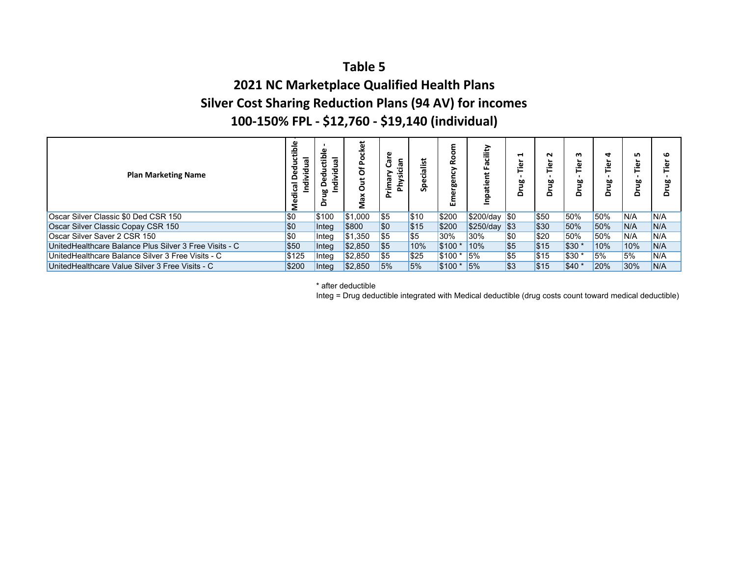## **2021 NC Marketplace Qualified Health Plans Silver Cost Sharing Reduction Plans (94 AV) for incomes 100‐150% FPL ‐ \$12,760 ‐ \$19,140 (individual)**

| <b>Plan Marketing Name</b>                             | ᢛ     | ъ<br>۵٥<br>o | 붑<br>o                | ನ<br>ᡕᢐ<br>ت<br>œ<br>٤<br>Έ<br>Δ. | cialist<br>န္တ | ě<br>σ<br>rgen<br>ш | cility<br>ō<br>ட<br>Inpatient | ⊣<br>ۜڲ<br>먈<br>$\circ$ | N<br>≏ | m<br>ഈ<br>۵ | ₹<br>ω<br>⊢<br>Δ | n<br>Φ<br>≔<br>쁘<br>⊂ |     |
|--------------------------------------------------------|-------|--------------|-----------------------|-----------------------------------|----------------|---------------------|-------------------------------|-------------------------|--------|-------------|------------------|-----------------------|-----|
| Oscar Silver Classic \$0 Ded CSR 150                   | \$0   | \$100        | \$1,000               | \$5                               | \$10           | \$200               | $$200$ /day $$0$              |                         | \$50   | 50%         | 50%              | IN/A                  | N/A |
| Oscar Silver Classic Copay CSR 150                     | \$0   | Integ        | \$800                 | <b>SO</b>                         | \$15           | \$200               | $$250/day$ $$3$               |                         | \$30   | 50%         | 50%              | N/A                   | N/A |
| Oscar Silver Saver 2 CSR 150                           | \$0   | Integ        | \$1,350               | \$5                               | \$5            | 30%                 | 30%                           | \$0                     | \$20   | 50%         | 50%              | IN/A                  | N/A |
| UnitedHealthcare Balance Plus Silver 3 Free Visits - C | \$50  | Integ        | $\frac{1}{2}$ \$2,850 | \$5                               | 10%            | \$100 *             | 10%                           | \$5                     | \$15   | $ $30*$     | 10%              | 10%                   | N/A |
| UnitedHealthcare Balance Silver 3 Free Visits - C      | \$125 | Integ        | \$2,850               | <b>S5</b>                         | \$25           | <b>S</b> 100 *      | 15%                           | \$5                     | \$15   | $ 530*$     | 5%               | <b>5%</b>             | N/A |
| UnitedHealthcare Value Silver 3 Free Visits - C        | \$200 | Intea        | \$2,850               | 5%                                | 5%             | $$100*$             | 15%                           | \$3                     | \$15   | \$40 *      | 20%              | 30%                   | N/A |

\* after deductible

Integ = Drug deductible integrated with Medical deductible (drug costs count toward medical deductible)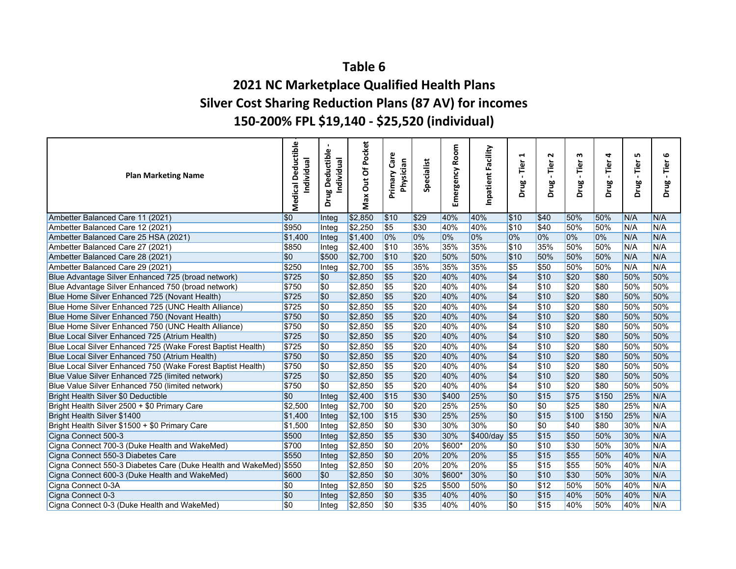## **Table 62021 NC Marketplace Qualified Health Plans Silver Cost Sharing Reduction Plans (87 AV) for incomes 150‐200% FPL \$19,140 ‐ \$25,520 (individual)**

| <b>Plan Marketing Name</b>                                        | <b>Deductible</b><br>Individual<br>Medical | $\mathbf \omega$<br>eductibl<br>Individual<br>ó<br>Drug | Of Pocket<br>Jut<br>Max | Care<br>Physician<br>Primary | Specialist | Room<br>Emergency | Inpatient Facility | H<br>Tier<br>$\blacksquare$<br>Drug | $\mathbf{\mathsf{N}}$<br>Tier<br>Drug | w<br>Tier<br>Drug | 4<br>Tier<br>$\mathbf{I}$<br>Drug | LŊ,<br>Tier<br>Drug | ဖ<br>Tier<br>$\blacksquare$<br>Drug |
|-------------------------------------------------------------------|--------------------------------------------|---------------------------------------------------------|-------------------------|------------------------------|------------|-------------------|--------------------|-------------------------------------|---------------------------------------|-------------------|-----------------------------------|---------------------|-------------------------------------|
| Ambetter Balanced Care 11 (2021)                                  | \$0                                        | Integ                                                   | \$2,850                 | \$10                         | \$29       | 40%               | 40%                | \$10                                | \$40                                  | 50%               | 50%                               | N/A                 | N/A                                 |
| Ambetter Balanced Care 12 (2021)                                  | \$950                                      | Integ                                                   | \$2,250                 | $\overline{\$5}$             | \$30       | 40%               | 40%                | \$10                                | \$40                                  | 50%               | 50%                               | N/A                 | N/A                                 |
| Ambetter Balanced Care 25 HSA (2021)                              | \$1,400                                    | Integ                                                   | \$1,400                 | 0%                           | 0%         | 0%                | 0%                 | 0%                                  | 0%                                    | 0%                | 0%                                | N/A                 | N/A                                 |
| Ambetter Balanced Care 27 (2021)                                  | \$850                                      | Integ                                                   | \$2,400                 | s10                          | 35%        | 35%               | 35%                | \$10                                | 35%                                   | 50%               | 50%                               | N/A                 | N/A                                 |
| Ambetter Balanced Care 28 (2021)                                  | \$0                                        | \$500                                                   | \$2,700                 | s <sub>10</sub>              | \$20       | 50%               | 50%                | \$10                                | 50%                                   | 50%               | 50%                               | N/A                 | N/A                                 |
| Ambetter Balanced Care 29 (2021)                                  | \$250                                      | Integ                                                   | \$2,700                 | $\overline{\$5}$             | 35%        | 35%               | 35%                | $\overline{\$5}$                    | \$50                                  | 50%               | 50%                               | N/A                 | N/A                                 |
| Blue Advantage Silver Enhanced 725 (broad network)                | \$725                                      | \$0                                                     | \$2,850                 | \$5                          | \$20       | 40%               | 40%                | $\overline{$4}$                     | \$10                                  | \$20              | \$80                              | 50%                 | 50%                                 |
| Blue Advantage Silver Enhanced 750 (broad network)                | \$750                                      | \$0                                                     | \$2,850                 | \$5                          | \$20       | 40%               | 40%                | $\overline{\$4}$                    | \$10                                  | \$20              | \$80                              | 50%                 | 50%                                 |
| Blue Home Silver Enhanced 725 (Novant Health)                     | \$725                                      | \$0                                                     | \$2,850                 | \$5                          | \$20       | 40%               | 40%                | $\overline{$4}$                     | \$10                                  | \$20              | \$80                              | 50%                 | 50%                                 |
| Blue Home Silver Enhanced 725 (UNC Health Alliance)               | \$725                                      | \$0                                                     | \$2,850                 | $\overline{\$5}$             | \$20       | 40%               | 40%                | $\overline{$4}$                     | \$10                                  | \$20              | \$80                              | 50%                 | 50%                                 |
| Blue Home Silver Enhanced 750 (Novant Health)                     | \$750                                      | \$0                                                     | \$2,850                 | \$5                          | \$20       | 40%               | 40%                | $\overline{$4}$                     | \$10                                  | \$20              | \$80                              | 50%                 | 50%                                 |
| Blue Home Silver Enhanced 750 (UNC Health Alliance)               | \$750                                      | \$0                                                     | \$2,850                 | $\overline{\$5}$             | \$20       | 40%               | 40%                | $\overline{$4}$                     | \$10                                  | \$20              | \$80                              | 50%                 | 50%                                 |
| Blue Local Silver Enhanced 725 (Atrium Health)                    | \$725                                      | \$0                                                     | \$2,850                 | \$5                          | \$20       | 40%               | 40%                | $\overline{$4}$                     | \$10                                  | \$20              | \$80                              | 50%                 | 50%                                 |
| Blue Local Silver Enhanced 725 (Wake Forest Baptist Health)       | \$725                                      | \$0                                                     | \$2,850                 | $\sqrt{5}$                   | \$20       | 40%               | 40%                | $\overline{\$4}$                    | \$10                                  | \$20              | \$80                              | 50%                 | 50%                                 |
| Blue Local Silver Enhanced 750 (Atrium Health)                    | \$750                                      | \$0                                                     | \$2,850                 | \$5                          | \$20       | 40%               | 40%                | \$4                                 | \$10                                  | \$20              | \$80                              | 50%                 | 50%                                 |
| Blue Local Silver Enhanced 750 (Wake Forest Baptist Health)       | \$750                                      | \$0                                                     | \$2,850                 | $\sqrt{5}$                   | \$20       | 40%               | 40%                | $\overline{\$4}$                    | \$10                                  | \$20              | \$80                              | 50%                 | 50%                                 |
| Blue Value Silver Enhanced 725 (limited network)                  | \$725                                      | \$0                                                     | \$2,850                 | \$5                          | \$20       | 40%               | 40%                | $\overline{$4}$                     | \$10                                  | \$20              | \$80                              | 50%                 | 50%                                 |
| Blue Value Silver Enhanced 750 (limited network)                  | \$750                                      | \$0                                                     | \$2,850                 | s <sub>5</sub>               | \$20       | 40%               | 40%                | \$4                                 | \$10                                  | \$20              | \$80                              | 50%                 | 50%                                 |
| Bright Health Silver \$0 Deductible                               | <b>SO</b>                                  | Integ                                                   | \$2,400                 | \$15                         | \$30       | \$400             | 25%                | \$0                                 | \$15                                  | \$75              | \$150                             | 25%                 | N/A                                 |
| Bright Health Silver 2500 + \$0 Primary Care                      | \$2,500                                    | Integ                                                   | \$2,700                 | \$0                          | \$20       | 25%               | 25%                | \$0                                 | \$0                                   | \$25              | \$80                              | 25%                 | N/A                                 |
| Bright Health Silver \$1400                                       | \$1,400                                    | Integ                                                   | \$2,100                 | \$15                         | \$30       | 25%               | 25%                | \$0                                 | \$15                                  | \$100             | \$150                             | 25%                 | N/A                                 |
| Bright Health Silver \$1500 + \$0 Primary Care                    | \$1,500                                    | Integ                                                   | \$2,850                 | \$0                          | \$30       | 30%               | 30%                | \$0                                 | <b>SO</b>                             | \$40              | \$80                              | 30%                 | N/A                                 |
| Cigna Connect 500-3                                               | \$500                                      | Integ                                                   | \$2,850                 | \$5                          | \$30       | 30%               | \$400/day          | \$5                                 | \$15                                  | \$50              | 50%                               | 30%                 | N/A                                 |
| Cigna Connect 700-3 (Duke Health and WakeMed)                     | \$700                                      | Integ                                                   | \$2,850                 | \$0                          | 20%        | \$600*            | 20%                | \$0                                 | \$10                                  | \$30              | 50%                               | 30%                 | N/A                                 |
| Cigna Connect 550-3 Diabetes Care                                 | \$550                                      | Integ                                                   | \$2,850                 | \$0                          | 20%        | 20%               | 20%                | \$5                                 | \$15                                  | \$55              | 50%                               | 40%                 | N/A                                 |
| Cigna Connect 550-3 Diabetes Care (Duke Health and WakeMed) \$550 |                                            | Integ                                                   | \$2,850                 | \$0                          | 20%        | 20%               | 20%                | $\overline{\$5}$                    | \$15                                  | \$55              | 50%                               | 40%                 | N/A                                 |
| Cigna Connect 600-3 (Duke Health and WakeMed)                     | \$600                                      | \$0                                                     | \$2,850                 | \$0                          | 30%        | \$600*            | 30%                | \$0                                 | \$10                                  | \$30              | 50%                               | 30%                 | N/A                                 |
| Cigna Connect 0-3A                                                | \$0                                        | Integ                                                   | \$2,850                 | \$0                          | \$25       | \$500             | 50%                | \$0                                 | \$12                                  | 50%               | 50%                               | 40%                 | N/A                                 |
| Cigna Connect 0-3                                                 | <b>SO</b>                                  | Integ                                                   | \$2,850                 | \$0                          | \$35       | 40%               | 40%                | \$0                                 | \$15                                  | 40%               | 50%                               | 40%                 | N/A                                 |
| Cigna Connect 0-3 (Duke Health and WakeMed)                       | \$0                                        | Integ                                                   | \$2,850                 | \$0                          | \$35       | 40%               | 40%                | $\overline{30}$                     | \$15                                  | 40%               | 50%                               | 40%                 | N/A                                 |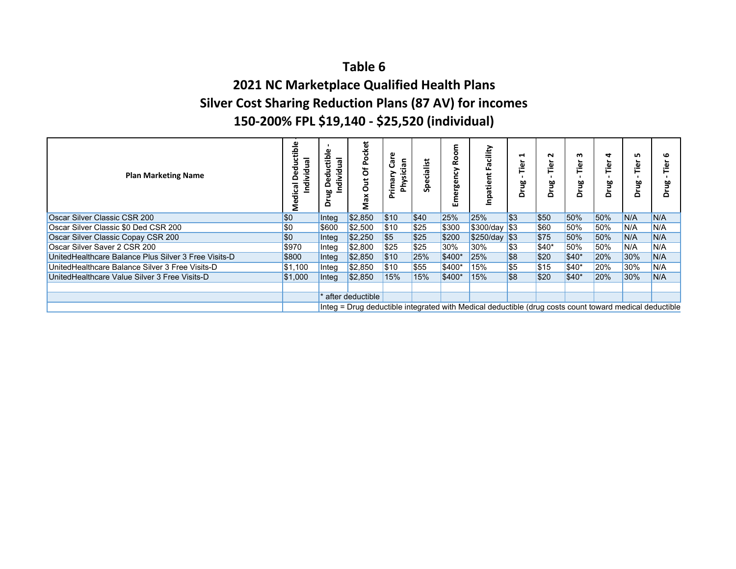## **Table 62021 NC Marketplace Qualified Health Plans Silver Cost Sharing Reduction Plans (87 AV) for incomes 150‐200% FPL \$19,140 ‐ \$25,520 (individual)**

| <b>Plan Marketing Name</b>                           | dividua<br>œ | 룹<br>leu<br>ndivid<br>edu<br>≏<br>c | cket<br>۵<br>ㅎ<br>o<br>XeN | an<br>ᢆ<br>Physici<br>rima | Ϊšί<br>ω<br>5<br>ğ, | ξ<br>ě<br>ergency<br>έ<br>ш | acility<br>Ű.<br>patient<br>Ξ                                                                          | ⊣<br>èĭ<br>Drug | N<br>ھَ.<br>먈<br>ō | m<br>ھ.<br>먈<br>⌒ | 4<br><u>ة.</u><br>먈<br>هٔ | n<br>ق<br>얄<br>$\Omega$ |     |
|------------------------------------------------------|--------------|-------------------------------------|----------------------------|----------------------------|---------------------|-----------------------------|--------------------------------------------------------------------------------------------------------|-----------------|--------------------|-------------------|---------------------------|-------------------------|-----|
| Oscar Silver Classic CSR 200                         | \$0          | Integ                               | \$2,850                    | \$10                       | \$40                | 25%                         | 25%                                                                                                    | $ 33\rangle$    | \$50               | 50%               | 50%                       | N/A                     | N/A |
| Oscar Silver Classic \$0 Ded CSR 200                 | \$0          | \$600                               | \$2,500                    | \$10                       | \$25                | \$300                       | \$300/day \$3                                                                                          |                 | \$60               | 50%               | 50%                       | N/A                     | N/A |
| Oscar Silver Classic Copay CSR 200                   | \$0          | Integ                               | \$2,250                    | <b>\$5</b>                 | \$25                | \$200                       | \$250/day \$3                                                                                          |                 | \$75               | 50%               | 50%                       | N/A                     | N/A |
| Oscar Silver Saver 2 CSR 200                         | \$970        | Integ                               | \$2,800                    | \$25                       | \$25                | 30%                         | 30%                                                                                                    | <b>S</b> 3      | \$40*              | 50%               | 50%                       | N/A                     | N/A |
| UnitedHealthcare Balance Plus Silver 3 Free Visits-D | \$800        | Integ                               | \$2,850                    | \$10                       | 25%                 | \$400*                      | 25%                                                                                                    | \$8             | \$20               | \$40*             | 20%                       | 30%                     | N/A |
| UnitedHealthcare Balance Silver 3 Free Visits-D      | \$1,100      | Integ                               | \$2,850                    | \$10                       | \$55                | $$400*$                     | 15%                                                                                                    | $ $ \$5         | \$15               | \$40*             | 20%                       | 30%                     | N/A |
| UnitedHealthcare Value Silver 3 Free Visits-D        | \$1,000      | Integ                               | \$2,850                    | 15%                        | 15%                 | $$400*$                     | 15%                                                                                                    | $ $ \$8         | \$20               | $$40*$            | 20%                       | 30%                     | N/A |
|                                                      |              |                                     |                            |                            |                     |                             |                                                                                                        |                 |                    |                   |                           |                         |     |
|                                                      |              |                                     | after deductible           |                            |                     |                             |                                                                                                        |                 |                    |                   |                           |                         |     |
|                                                      |              |                                     |                            |                            |                     |                             | Integ = Drug deductible integrated with Medical deductible (drug costs count toward medical deductible |                 |                    |                   |                           |                         |     |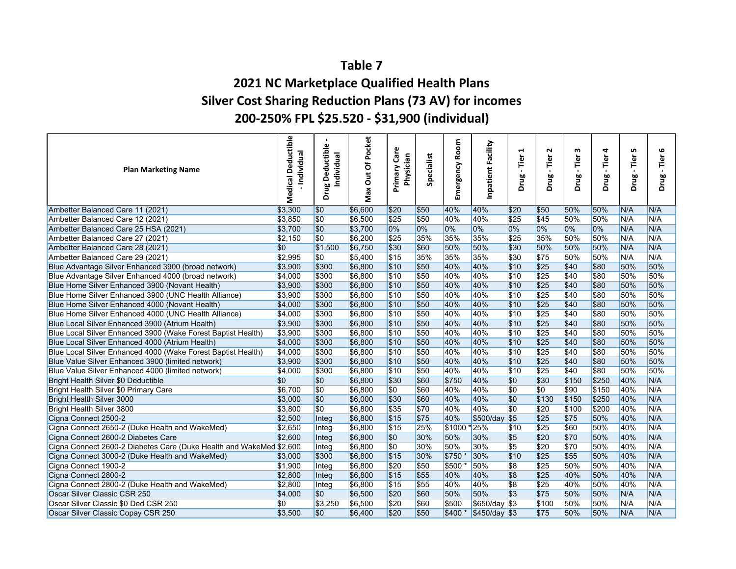## **2021 NC Marketplace Qualified Health Plans Silver Cost Sharing Reduction Plans (73 AV) for incomes 200‐250% FPL \$25.520 ‐ \$31,900 (individual)**

| <b>Plan Marketing Name</b>                                          | <b>Deductible</b><br>-Individual<br>Medical | Drug Deductible<br>Individual | Of Pocket<br>ă<br>Max | ω<br>້ອ<br>Physician<br>Primary | Specialist   | Room<br>ergency<br>Ĕ | Inpatient Facility | H<br>Tier<br>$\blacksquare$<br>Drug | Z<br>Tier<br>Drug | w<br>Tier<br>Drug | 4<br>Tier<br>$\mathbf{I}$<br>Drug | LO,<br>Tier<br>Drug | ဖ<br>Tier<br>Drug |
|---------------------------------------------------------------------|---------------------------------------------|-------------------------------|-----------------------|---------------------------------|--------------|----------------------|--------------------|-------------------------------------|-------------------|-------------------|-----------------------------------|---------------------|-------------------|
| Ambetter Balanced Care 11 (2021)                                    | \$3,300                                     | \$0                           | \$6,600               | \$20                            | \$50         | 40%                  | 40%                | \$20                                | \$50              | 50%               | 50%                               | N/A                 | N/A               |
| Ambetter Balanced Care 12 (2021)                                    | \$3,850                                     | <b>SO</b>                     | \$6,500               | \$25                            | \$50         | 40%                  | 40%                | \$25                                | \$45              | 50%               | 50%                               | N/A                 | N/A               |
| Ambetter Balanced Care 25 HSA (2021)                                | \$3,700                                     | \$0                           | \$3,700               | 0%                              | 0%           | 0%                   | 0%                 | 0%                                  | 0%                | 0%                | 0%                                | N/A                 | N/A               |
| Ambetter Balanced Care 27 (2021)                                    | \$2,150                                     | <b>SO</b>                     | \$6,200               | \$25                            | 35%          | 35%                  | 35%                | \$25                                | 35%               | 50%               | 50%                               | N/A                 | N/A               |
| Ambetter Balanced Care 28 (2021)                                    | <b>SO</b>                                   | \$1,500                       | \$6,750               | \$30                            | \$60         | 50%                  | 50%                | \$30                                | 50%               | 50%               | 50%                               | N/A                 | N/A               |
| Ambetter Balanced Care 29 (2021)                                    | \$2,995                                     | \$0                           | \$5,400               | \$15                            | 35%          | 35%                  | 35%                | \$30                                | \$75              | 50%               | 50%                               | N/A                 | N/A               |
| Blue Advantage Silver Enhanced 3900 (broad network)                 | \$3,900                                     | \$300                         | \$6,800               | \$10                            | \$50         | 40%                  | 40%                | \$10                                | \$25              | \$40              | \$80                              | 50%                 | 50%               |
| Blue Advantage Silver Enhanced 4000 (broad network)                 | \$4,000                                     | \$300                         | \$6,800               | \$10                            | \$50         | 40%                  | 40%                | \$10                                | \$25              | \$40              | \$80                              | 50%                 | 50%               |
| Blue Home Silver Enhanced 3900 (Novant Health)                      | \$3,900                                     | \$300                         | \$6,800               | \$10                            | \$50         | 40%                  | 40%                | \$10                                | \$25              | \$40              | \$80                              | 50%                 | 50%               |
| Blue Home Silver Enhanced 3900 (UNC Health Alliance)                | \$3,900                                     | \$300                         | \$6,800               | \$10                            | \$50         | 40%                  | 40%                | \$10                                | \$25              | \$40              | \$80                              | 50%                 | 50%               |
| Blue Home Silver Enhanced 4000 (Novant Health)                      | \$4,000                                     | \$300                         | \$6,800               | \$10                            | \$50         | 40%                  | 40%                | \$10                                | \$25              | \$40              | \$80                              | 50%                 | 50%               |
| Blue Home Silver Enhanced 4000 (UNC Health Alliance)                | \$4,000                                     | \$300                         | \$6,800               | \$10                            | \$50         | 40%                  | 40%                | \$10                                | $\overline{$}25$  | \$40              | \$80                              | 50%                 | 50%               |
| Blue Local Silver Enhanced 3900 (Atrium Health)                     | \$3,900                                     | \$300                         | \$6,800               | \$10                            | \$50         | 40%                  | 40%                | \$10                                | \$25              | \$40              | \$80                              | 50%                 | 50%               |
| Blue Local Silver Enhanced 3900 (Wake Forest Baptist Health)        | \$3,900                                     | \$300                         | \$6,800               | \$10                            | \$50         | 40%                  | 40%                | \$10                                | \$25              | \$40              | \$80                              | 50%                 | 50%               |
| Blue Local Silver Enhanced 4000 (Atrium Health)                     | \$4,000                                     | \$300                         | \$6,800               | \$10                            | \$50         | 40%                  | 40%                | \$10                                | \$25              | \$40              | \$80                              | 50%                 | 50%               |
| Blue Local Silver Enhanced 4000 (Wake Forest Baptist Health)        | \$4,000                                     | \$300                         | \$6,800               | \$10                            | \$50         | 40%                  | 40%                | \$10                                | \$25              | \$40              | \$80                              | 50%                 | 50%               |
| Blue Value Silver Enhanced 3900 (limited network)                   | \$3,900                                     | \$300                         | \$6,800               | \$10                            | \$50         | 40%                  | 40%                | \$10                                | \$25              | \$40              | \$80                              | 50%                 | 50%               |
| Blue Value Silver Enhanced 4000 (limited network)                   | \$4,000                                     | \$300                         | \$6,800               | \$10                            | \$50         | 40%                  | 40%                | \$10                                | \$25              | \$40              | \$80                              | 50%                 | 50%               |
| Bright Health Silver \$0 Deductible                                 | \$0                                         | \$0                           | \$6,800               | \$30                            | \$60         | \$750                | 40%                | \$0                                 | \$30              | \$150             | \$250                             | 40%                 | N/A               |
| Bright Health Silver \$0 Primary Care                               | \$6,700                                     | \$0                           | \$6,800               | \$0                             | \$60         | 40%                  | 40%                | l\$0                                | \$0               | \$90              | \$150                             | 40%                 | N/A               |
| Bright Health Silver 3000                                           | \$3,000                                     | \$0                           | \$6,000               | \$30                            | \$60         | 40%                  | 40%                | \$0                                 | \$130             | \$150             | \$250                             | 40%                 | N/A               |
| Bright Health Silver 3800                                           | \$3,800                                     | $\sqrt{50}$                   | \$6,800               | $\overline{$}35$                | $\sqrt{570}$ | 40%                  | 40%                | \$0                                 | \$20              | \$100             | \$200                             | 40%                 | N/A               |
| Cigna Connect 2500-2                                                | \$2,500                                     | Integ                         | \$6,800               | \$15                            | \$75         | 40%                  | \$500/day \$5      |                                     | \$25              | \$75              | 50%                               | 40%                 | N/A               |
| Cigna Connect 2650-2 (Duke Health and WakeMed)                      | \$2,650                                     | Integ                         | \$6,800               | \$15                            | 25%          | $$1000 * 25\%$       |                    | \$10                                | \$25              | \$60              | 50%                               | 40%                 | N/A               |
| Cigna Connect 2600-2 Diabetes Care                                  | \$2,600                                     | Integ                         | \$6,800               | \$0                             | 30%          | 50%                  | 30%                | \$5                                 | \$20              | \$70              | 50%                               | 40%                 | N/A               |
| Cigna Connect 2600-2 Diabetes Care (Duke Health and WakeMed \$2,600 |                                             | Integ                         | \$6,800               | \$0                             | 30%          | 50%                  | 30%                | <b>S5</b>                           | \$20              | \$70              | 50%                               | 40%                 | N/A               |
| Cigna Connect 3000-2 (Duke Health and WakeMed)                      | \$3,000                                     | \$300                         | \$6,800               | \$15                            | 30%          | $$750*$              | 30%                | \$10                                | \$25              | \$55              | 50%                               | 40%                 | N/A               |
| Cigna Connect 1900-2                                                | \$1,900                                     | Integ                         | \$6,800               | \$20                            | \$50         | \$500 *              | 50%                | \$8                                 | \$25              | 50%               | 50%                               | 40%                 | N/A               |
| Cigna Connect 2800-2                                                | \$2,800                                     | Integ                         | \$6,800               | \$15                            | \$55         | 40%                  | 40%                | <b>S8</b>                           | \$25              | 40%               | 50%                               | 40%                 | N/A               |
| Cigna Connect 2800-2 (Duke Health and WakeMed)                      | \$2,800                                     | Integ                         | \$6,800               | \$15                            | \$55         | 40%                  | 40%                | <b>S8</b>                           | \$25              | 40%               | 50%                               | 40%                 | N/A               |
| Oscar Silver Classic CSR 250                                        | \$4,000                                     | \$0                           | \$6,500               | \$20                            | \$60         | 50%                  | 50%                | <b>S</b> 3                          | \$75              | 50%               | 50%                               | N/A                 | N/A               |
| Oscar Silver Classic \$0 Ded CSR 250                                | $\sqrt{50}$                                 | \$3,250                       | \$6,500               | \$20                            | \$60         | \$500                | \$650/day \$3      |                                     | \$100             | 50%               | 50%                               | N/A                 | N/A               |
| Oscar Silver Classic Copay CSR 250                                  | \$3,500                                     | <b>\$0</b>                    | \$6,400               | \$20                            | \$50         | \$400 *              | \$450/day \$3      |                                     | \$75              | 50%               | 50%                               | N/A                 | N/A               |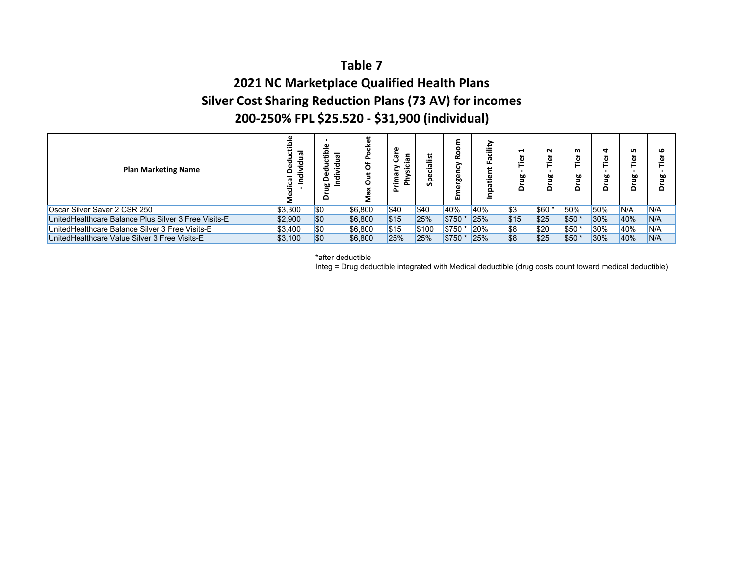## **2021 NC Marketplace Qualified Health Plans Silver Cost Sharing Reduction Plans (73 AV) for incomes 200‐250% FPL \$25.520 ‐ \$31,900 (individual)**

| <b>Plan Marketing Name</b>                           | $\overline{\mathbf{a}}$<br>ರ | œ<br>$\blacksquare$<br>ъ<br>о | ۵<br>Ó<br>O | ᡕᢐ<br>ਨੋ<br>. ' 고<br>œ<br>≿<br>Έ | .<br>U<br>._<br>Ω | ш            | ш<br>⋍ | H<br>.<br>٥٥<br>Δ | N<br>$\overline{\mathbf{v}}$<br>٥٥<br>≏ | m<br>≏ | ÷<br>٥٥<br>۵ | n<br>$\overline{\mathbf{v}}$<br>5<br>Δ |     |
|------------------------------------------------------|------------------------------|-------------------------------|-------------|----------------------------------|-------------------|--------------|--------|-------------------|-----------------------------------------|--------|--------------|----------------------------------------|-----|
| Oscar Silver Saver 2 CSR 250                         | \$3.300                      | <b>SO</b>                     | \$6.800     | \$40                             | \$40              | 40%          | 40%    | \$3               | \$60                                    | 50%    | 50%          | N/A                                    | N/A |
| UnitedHealthcare Balance Plus Silver 3 Free Visits-E | \$2.900                      | <b>SO</b>                     | \$6.800     | \$15                             | 25%               | \$750        | 25%    | \$15              | \$25                                    | \$50   | 30%          | 40%                                    | N/A |
| UnitedHealthcare Balance Silver 3 Free Visits-E      | \$3,400                      | <b>SO</b>                     | \$6,800     | \$15                             | \$100             | \$750 *      | 20%    | \$8               | <b>S20</b>                              | \$50   | 30%          | 40%                                    | N/A |
| UnitedHealthcare Value Silver 3 Free Visits-E        | \$3,100                      | <b>SO</b>                     | \$6.800     | 25%                              | 25%               | <b>\$750</b> | 25%    | \$8               | \$25                                    | \$50   | 30%          | 40%                                    | N/A |

\*after deductible

Integ = Drug deductible integrated with Medical deductible (drug costs count toward medical deductible)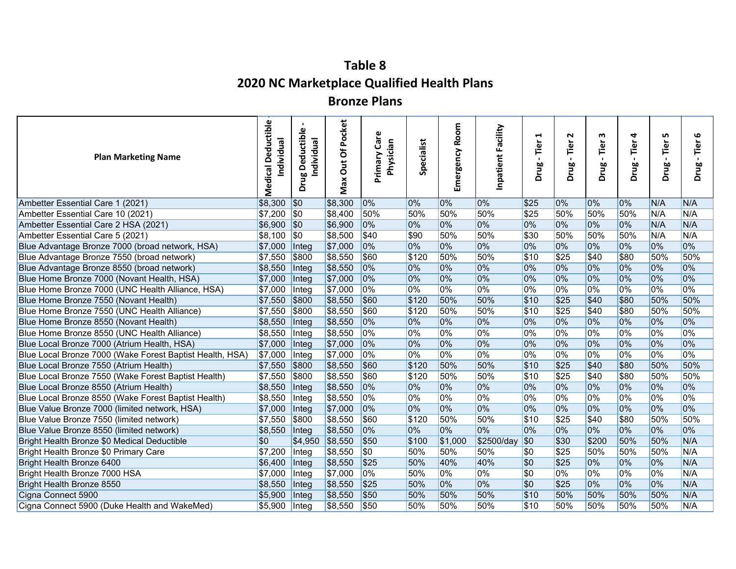# **Table 8 2020 NC Marketplace Qualified Health Plans**

### **Bronze Plans**

| <b>Plan Marketing Name</b>                               | Deductible<br>Individual<br>Medical | ω<br>uctible<br>Individual<br>힣<br>Õ<br>먤<br>δ | Pocket<br>Out Of<br>Max | Care<br>Physician<br>Primary | Specialist | Emergency Room | Inpatient Facility | 1<br>Tier<br>$\blacksquare$<br>Drug | $\sim$<br>Tier<br>Drug | w<br>Tier<br>Drug | 4<br>Tier<br>$\blacksquare$<br>Drug | LO,<br>Tier<br>Drug | 9<br>Tier<br>$\blacksquare$<br>Drug |
|----------------------------------------------------------|-------------------------------------|------------------------------------------------|-------------------------|------------------------------|------------|----------------|--------------------|-------------------------------------|------------------------|-------------------|-------------------------------------|---------------------|-------------------------------------|
| Ambetter Essential Care 1 (2021)                         | \$8,300                             | \$0                                            | \$8,300                 | $ 0\%$                       | 0%         | $0\%$          | 0%                 | \$25                                | 0%                     | $0\%$             | 0%                                  | N/A                 | N/A                                 |
| Ambetter Essential Care 10 (2021)                        | \$7,200                             | $\sqrt{50}$                                    | \$8,400                 | 50%                          | 50%        | 50%            | 50%                | \$25                                | 50%                    | 50%               | 50%                                 | N/A                 | N/A                                 |
| Ambetter Essential Care 2 HSA (2021)                     | \$6,900                             | \$0                                            | \$6,900                 | $ 0\%$                       | 0%         | 0%             | 0%                 | 0%                                  | 0%                     | 0%                | 0%                                  | N/A                 | N/A                                 |
| Ambetter Essential Care 5 (2021)                         | \$8,100                             | $\sqrt{50}$                                    | \$8,500                 | \$40                         | \$90       | 50%            | 50%                | \$30                                | 50%                    | 50%               | 50%                                 | N/A                 | N/A                                 |
| Blue Advantage Bronze 7000 (broad network, HSA)          | \$7,000                             | Integ                                          | \$7,000                 | 0%                           | 0%         | 0%             | 0%                 | 0%                                  | 0%                     | 0%                | 0%                                  | 0%                  | 0%                                  |
| Blue Advantage Bronze 7550 (broad network)               | \$7,550                             | \$800                                          | \$8,550                 | \$60                         | \$120      | 50%            | 50%                | \$10                                | $\sqrt{$25}$           | \$40              | \$80                                | 50%                 | 50%                                 |
| Blue Advantage Bronze 8550 (broad network)               | \$8,550                             | Integ                                          | \$8,550                 | 0%                           | 0%         | 0%             | 0%                 | 0%                                  | 0%                     | 0%                | 0%                                  | 0%                  | 0%                                  |
| Blue Home Bronze 7000 (Novant Health, HSA)               | \$7,000                             | Integ                                          | \$7,000                 | 0%                           | 0%         | 0%             | 0%                 | 0%                                  | 0%                     | 0%                | 0%                                  | 0%                  | 0%                                  |
| Blue Home Bronze 7000 (UNC Health Alliance, HSA)         | \$7,000                             | Integ                                          | \$7,000                 | $ 0\%$                       | 0%         | 0%             | 0%                 | 0%                                  | 0%                     | 0%                | 0%                                  | 0%                  | 0%                                  |
| Blue Home Bronze 7550 (Novant Health)                    | \$7,550                             | \$800                                          | \$8,550                 | \$60                         | \$120      | 50%            | 50%                | \$10                                | \$25                   | \$40              | \$80                                | 50%                 | 50%                                 |
| Blue Home Bronze 7550 (UNC Health Alliance)              | \$7,550                             | \$800                                          | \$8,550                 | \$60                         | \$120      | 50%            | 50%                | \$10                                | $\sqrt{$25}$           | \$40              | \$80                                | 50%                 | 50%                                 |
| Blue Home Bronze 8550 (Novant Health)                    | \$8,550                             | Integ                                          | \$8,550                 | $ 0\%$                       | 0%         | 0%             | 0%                 | 0%                                  | 0%                     | 0%                | 0%                                  | 0%                  | 0%                                  |
| Blue Home Bronze 8550 (UNC Health Alliance)              | \$8,550                             | Integ                                          | \$8,550                 | $ 0\%$                       | 0%         | 0%             | 0%                 | 0%                                  | 0%                     | 0%                | 0%                                  | 0%                  | 0%                                  |
| Blue Local Bronze 7000 (Atrium Health, HSA)              | \$7,000                             | Integ                                          | \$7,000                 | 0%                           | 0%         | 0%             | 0%                 | 0%                                  | 0%                     | 0%                | 0%                                  | 0%                  | 0%                                  |
| Blue Local Bronze 7000 (Wake Forest Baptist Health, HSA) | \$7,000                             | Integ                                          | \$7,000                 | $ 0\%$                       | 0%         | 0%             | 0%                 | 0%                                  | 0%                     | 0%                | 0%                                  | 0%                  | 0%                                  |
| Blue Local Bronze 7550 (Atrium Health)                   | \$7,550                             | \$800                                          | \$8,550                 | \$60                         | \$120      | 50%            | 50%                | \$10                                | \$25                   | \$40              | \$80                                | 50%                 | 50%                                 |
| Blue Local Bronze 7550 (Wake Forest Baptist Health)      | \$7,550                             | \$800                                          | \$8,550                 | \$60                         | \$120      | 50%            | 50%                | \$10                                | $\sqrt{$25}$           | \$40              | \$80                                | 50%                 | 50%                                 |
| Blue Local Bronze 8550 (Atrium Health)                   | \$8,550                             | Integ                                          | \$8,550                 | 0%                           | 0%         | 0%             | 0%                 | 0%                                  | 0%                     | 0%                | 0%                                  | 0%                  | 0%                                  |
| Blue Local Bronze 8550 (Wake Forest Baptist Health)      | \$8,550                             | Integ                                          | \$8,550                 | 0%                           | 0%         | 0%             | 0%                 | 0%                                  | 0%                     | 0%                | 0%                                  | 0%                  | 0%                                  |
| Blue Value Bronze 7000 (limited network, HSA)            | \$7,000                             | Integ                                          | \$7,000                 | 10%                          | 0%         | 0%             | 0%                 | 0%                                  | 0%                     | 0%                | 0%                                  | 0%                  | 0%                                  |
| Blue Value Bronze 7550 (limited network)                 | \$7,550                             | \$800                                          | \$8,550                 | \$60                         | \$120      | 50%            | 50%                | \$10                                | s25                    | \$40              | \$80                                | 50%                 | 50%                                 |
| Blue Value Bronze 8550 (limited network)                 | \$8,550                             | Integ                                          | \$8,550                 | 0%                           | 0%         | 0%             | 0%                 | 0%                                  | 0%                     | 0%                | 0%                                  | 0%                  | 0%                                  |
| Bright Health Bronze \$0 Medical Deductible              | \$0                                 | \$4,950                                        | \$8,550                 | \$50                         | \$100      | \$1,000        | \$2500/day         | \$0                                 | \$30                   | \$200             | 50%                                 | 50%                 | N/A                                 |
| Bright Health Bronze \$0 Primary Care                    | \$7,200                             | Integ                                          | \$8,550                 | \$0                          | 50%        | 50%            | 50%                | $\overline{\$0}$                    | $\sqrt{$25}$           | 50%               | 50%                                 | 50%                 | N/A                                 |
| Bright Health Bronze 6400                                | \$6,400                             | Integ                                          | \$8,550                 | $\sqrt{$25}$                 | 50%        | 40%            | 40%                | \$0                                 | \$25                   | 0%                | 0%                                  | 0%                  | N/A                                 |
| Bright Health Bronze 7000 HSA                            | \$7,000                             | Integ                                          | \$7,000                 | $ 0\%$                       | 50%        | 0%             | 0%                 | \$0                                 | 0%                     | 0%                | 0%                                  | 0%                  | N/A                                 |
| Bright Health Bronze 8550                                | \$8,550                             | Integ                                          | \$8,550                 | $\sqrt{$25}$                 | 50%        | 0%             | 0%                 | $\overline{30}$                     | $\sqrt{$25}$           | 0%                | 0%                                  | 0%                  | N/A                                 |
| Cigna Connect 5900                                       | \$5,900                             | Integ                                          | \$8,550                 | \$50                         | 50%        | 50%            | 50%                | \$10                                | 50%                    | 50%               | 50%                                 | 50%                 | N/A                                 |
| Cigna Connect 5900 (Duke Health and WakeMed)             | \$5,900                             | Integ                                          | \$8,550                 | \$50                         | 50%        | 50%            | 50%                | \$10                                | 50%                    | 50%               | 50%                                 | 50%                 | N/A                                 |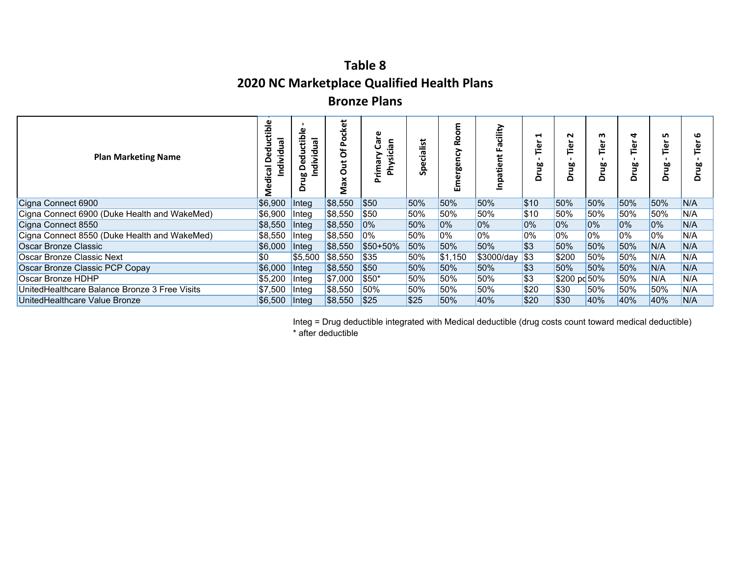# **Table 82020 NC Marketplace Qualified Health Plans**

## **Bronze Plans**

| <b>Plan Marketing Name</b>                    | ₾<br>o<br>᠊ᢛ<br>ठ<br>o<br>ъ<br>œ<br>ပ<br>o | -<br>≏<br>Φ<br>ᡕᢐ<br>ъ<br>ъ<br>Ξ<br>۵<br>5<br>≏ | ã<br>ں<br>o<br>O<br>∍<br>o<br>0<br>Σ | ω<br>ී<br>ഇ.<br>。。<br>rima<br>ξÁ | List<br>œ<br>ㅎ<br>Ō<br>ۼ | ω<br>ō٥<br>ш | cility<br><b>ru</b><br>Ш<br>atient<br><u>قع</u> | ⊣<br>ھ.<br>먈<br>≏ | N<br>Δ       | m<br>ٰ هِ<br>꼴<br>Δ | 4<br>⊾<br>تھ<br>آ<br>먈<br>$\Omega$ | ഗ<br>ھ.<br>먈<br>۵ | ဖ<br>ω<br>먘<br>◠ |
|-----------------------------------------------|--------------------------------------------|-------------------------------------------------|--------------------------------------|----------------------------------|--------------------------|--------------|-------------------------------------------------|-------------------|--------------|---------------------|------------------------------------|-------------------|------------------|
| Cigna Connect 6900                            | \$6,900                                    | Integ                                           | \$8,550                              | \$50                             | 50%                      | 50%          | 50%                                             | \$10              | 50%          | 50%                 | 50%                                | 50%               | N/A              |
| Cigna Connect 6900 (Duke Health and WakeMed)  | \$6,900                                    | Integ                                           | \$8,550                              | \$50                             | 50%                      | 50%          | 50%                                             | \$10              | 50%          | 50%                 | 50%                                | 50%               | N/A              |
| Cigna Connect 8550                            | \$8,550                                    | Integ                                           | \$8,550                              | 10%                              | 50%                      | 0%           | 0%                                              | 0%                | $0\%$        | 0%                  | 0%                                 | 0%                | N/A              |
| Cigna Connect 8550 (Duke Health and WakeMed)  | \$8,550                                    | Integ                                           | \$8,550                              | 0%                               | 50%                      | 0%           | 0%                                              | 0%                | $10\%$       | $0\%$               | 0%                                 | 10%               | N/A              |
| Oscar Bronze Classic                          | \$6,000                                    | Integ                                           | \$8,550                              | \$50+50%                         | 50%                      | 50%          | 50%                                             | $\sqrt{3}$        | 50%          | 50%                 | 50%                                | N/A               | N/A              |
| Oscar Bronze Classic Next                     | <b>SO</b>                                  | \$5,500                                         | \$8,550                              | \$35                             | 50%                      | \$1,150      | \$3000/day                                      | l\$3              | \$200        | 50%                 | 50%                                | N/A               | N/A              |
| Oscar Bronze Classic PCP Copay                | \$6,000                                    | Integ                                           | \$8,550                              | \$50                             | 50%                      | 50%          | 50%                                             | \$3               | 50%          | 50%                 | 50%                                | N/A               | N/A              |
| Oscar Bronze HDHP                             | \$5,200                                    | <b>Integ</b>                                    | \$7,000                              | \$50*                            | 50%                      | 50%          | 50%                                             | $\sqrt{3}$        | \$200 pc 50% |                     | 50%                                | N/A               | N/A              |
| UnitedHealthcare Balance Bronze 3 Free Visits | \$7.500                                    | $ $ Integ                                       | \$8,550                              | 50%                              | 50%                      | 50%          | 50%                                             | \$20              | \$30         | 50%                 | 50%                                | 50%               | N/A              |
| UnitedHealthcare Value Bronze                 | \$6,500                                    | <b>I</b> ntea                                   | \$8,550                              | \$25                             | \$25                     | 50%          | 40%                                             | \$20              | \$30         | 40%                 | 40%                                | 40%               | N/A              |

Integ = Drug deductible integrated with Medical deductible (drug costs count toward medical deductible) \* after deductible